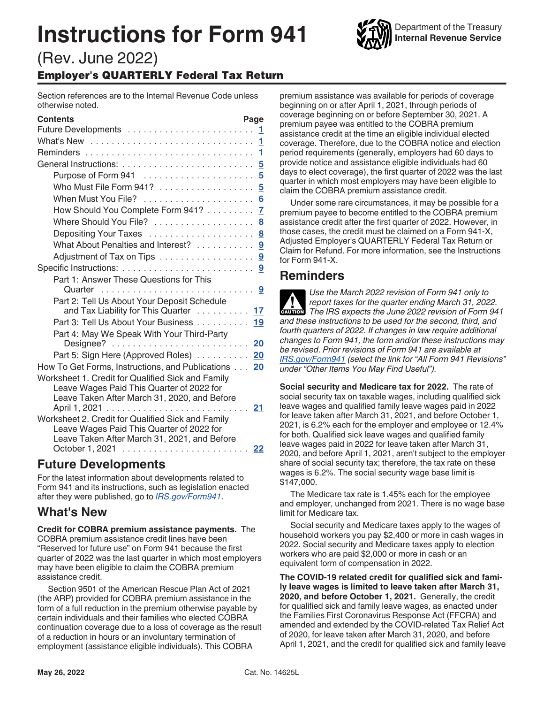# **Instructions for Form 941**



# (Rev. June 2022) Employer's QUARTERLY Federal Tax Return

Section references are to the Internal Revenue Code unless otherwise noted.

| <b>Contents</b>                                                                           | Page                    |
|-------------------------------------------------------------------------------------------|-------------------------|
|                                                                                           | 1                       |
|                                                                                           | 1                       |
|                                                                                           | 1                       |
|                                                                                           | 5                       |
| Purpose of Form 941                                                                       | $\overline{\mathbf{5}}$ |
| Who Must File Form 941?                                                                   | 5                       |
| When Must You File?                                                                       | 6                       |
| How Should You Complete Form 941?                                                         | 7                       |
| Where Should You File?                                                                    | 8                       |
| Depositing Your Taxes                                                                     | 8                       |
| What About Penalties and Interest?                                                        | 9                       |
| Adjustment of Tax on Tips                                                                 | 9                       |
|                                                                                           | 9                       |
| Part 1: Answer These Questions for This                                                   |                         |
| Quarter                                                                                   | 9                       |
| Part 2: Tell Us About Your Deposit Schedule                                               |                         |
| and Tax Liability for This Quarter  17                                                    |                         |
| Part 3: Tell Us About Your Business                                                       | 19                      |
| Part 4: May We Speak With Your Third-Party                                                |                         |
|                                                                                           | 20                      |
| Part 5: Sign Here (Approved Roles)                                                        | 20                      |
| How To Get Forms, Instructions, and Publications                                          | 20                      |
| Worksheet 1. Credit for Qualified Sick and Family                                         |                         |
| Leave Wages Paid This Quarter of 2022 for<br>Leave Taken After March 31, 2020, and Before |                         |
| April 1, 2021                                                                             | 21                      |
| Worksheet 2. Credit for Qualified Sick and Family                                         |                         |
| Leave Wages Paid This Quarter of 2022 for                                                 |                         |
| Leave Taken After March 31, 2021, and Before                                              |                         |
| October 1, 2021                                                                           | 22                      |
|                                                                                           |                         |

# **Future Developments**

For the latest information about developments related to Form 941 and its instructions, such as legislation enacted after they were published, go to *[IRS.gov/Form941](https://www.irs.gov/form941)*.

# **What's New**

**Credit for COBRA premium assistance payments.** The COBRA premium assistance credit lines have been "Reserved for future use" on Form 941 because the first quarter of 2022 was the last quarter in which most employers may have been eligible to claim the COBRA premium assistance credit.

Section 9501 of the American Rescue Plan Act of 2021 (the ARP) provided for COBRA premium assistance in the form of a full reduction in the premium otherwise payable by certain individuals and their families who elected COBRA continuation coverage due to a loss of coverage as the result of a reduction in hours or an involuntary termination of employment (assistance eligible individuals). This COBRA

premium assistance was available for periods of coverage beginning on or after April 1, 2021, through periods of coverage beginning on or before September 30, 2021. A premium payee was entitled to the COBRA premium assistance credit at the time an eligible individual elected coverage. Therefore, due to the COBRA notice and election period requirements (generally, employers had 60 days to provide notice and assistance eligible individuals had 60 days to elect coverage), the first quarter of 2022 was the last quarter in which most employers may have been eligible to claim the COBRA premium assistance credit.

Under some rare circumstances, it may be possible for a premium payee to become entitled to the COBRA premium assistance credit after the first quarter of 2022. However, in those cases, the credit must be claimed on a Form 941-X, Adjusted Employer's QUARTERLY Federal Tax Return or Claim for Refund. For more information, see the Instructions for Form 941-X.

# **Reminders**

*Use the March 2022 revision of Form 941 only to report taxes for the quarter ending March 31, 2022.*  **Preport taxes for the quarter ending March 31, 2022.**<br> **The IRS expects the June 2022 revision of Form 941** *and these instructions to be used for the second, third, and fourth quarters of 2022. If changes in law require additional changes to Form 941, the form and/or these instructions may be revised. Prior revisions of Form 941 are available at [IRS.gov/Form941](https://www.irs.gov/form941) (select the link for "All Form 941 Revisions" under "Other Items You May Find Useful").*

**Social security and Medicare tax for 2022.** The rate of social security tax on taxable wages, including qualified sick leave wages and qualified family leave wages paid in 2022 for leave taken after March 31, 2021, and before October 1, 2021, is 6.2% each for the employer and employee or 12.4% for both. Qualified sick leave wages and qualified family leave wages paid in 2022 for leave taken after March 31, 2020, and before April 1, 2021, aren't subject to the employer share of social security tax; therefore, the tax rate on these wages is 6.2%. The social security wage base limit is \$147,000.

The Medicare tax rate is 1.45% each for the employee and employer, unchanged from 2021. There is no wage base limit for Medicare tax.

Social security and Medicare taxes apply to the wages of household workers you pay \$2,400 or more in cash wages in 2022. Social security and Medicare taxes apply to election workers who are paid \$2,000 or more in cash or an equivalent form of compensation in 2022.

**The COVID-19 related credit for qualified sick and family leave wages is limited to leave taken after March 31, 2020, and before October 1, 2021.** Generally, the credit for qualified sick and family leave wages, as enacted under the Families First Coronavirus Response Act (FFCRA) and amended and extended by the COVID-related Tax Relief Act of 2020, for leave taken after March 31, 2020, and before April 1, 2021, and the credit for qualified sick and family leave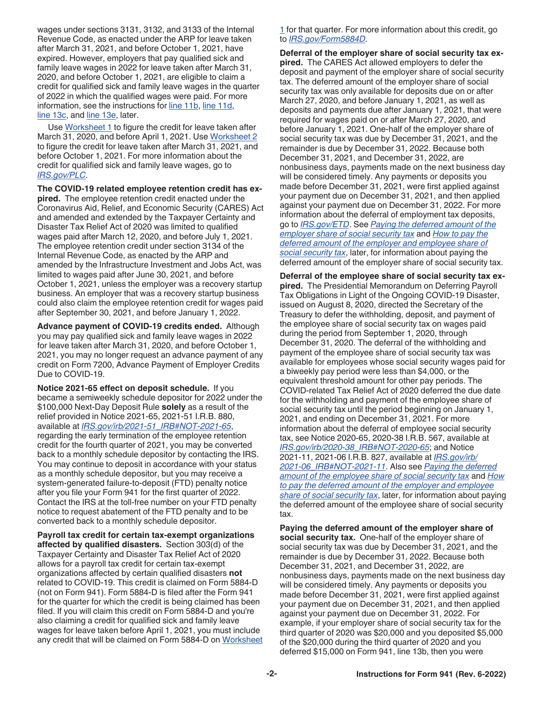wages under sections 3131, 3132, and 3133 of the Internal Revenue Code, as enacted under the ARP for leave taken after March 31, 2021, and before October 1, 2021, have expired. However, employers that pay qualified sick and family leave wages in 2022 for leave taken after March 31, 2020, and before October 1, 2021, are eligible to claim a credit for qualified sick and family leave wages in the quarter of 2022 in which the qualified wages were paid. For more information, see the instructions for [line 11b](#page-13-0), [line 11d](#page-13-0), [line 13c](#page-15-0), and [line 13e](#page-15-0), later.

Use [Worksheet 1](#page-20-0) to figure the credit for leave taken after March 31, 2020, and before April 1, 2021. Use Worksheet 2 to figure the credit for leave taken after March 31, 2021, and before October 1, 2021. For more information about the credit for qualified sick and family leave wages, go to *[IRS.gov/PLC](https://www.irs.gov/plc)*.

**The COVID-19 related employee retention credit has expired.** The employee retention credit enacted under the Coronavirus Aid, Relief, and Economic Security (CARES) Act and amended and extended by the Taxpayer Certainty and Disaster Tax Relief Act of 2020 was limited to qualified wages paid after March 12, 2020, and before July 1, 2021. The employee retention credit under section 3134 of the Internal Revenue Code, as enacted by the ARP and amended by the Infrastructure Investment and Jobs Act, was limited to wages paid after June 30, 2021, and before October 1, 2021, unless the employer was a recovery startup business. An employer that was a recovery startup business could also claim the employee retention credit for wages paid after September 30, 2021, and before January 1, 2022.

**Advance payment of COVID-19 credits ended.** Although you may pay qualified sick and family leave wages in 2022 for leave taken after March 31, 2020, and before October 1, 2021, you may no longer request an advance payment of any credit on Form 7200, Advance Payment of Employer Credits Due to COVID-19.

**Notice 2021-65 effect on deposit schedule.** If you became a semiweekly schedule depositor for 2022 under the \$100,000 Next-Day Deposit Rule **solely** as a result of the relief provided in Notice 2021-65, 2021-51 I.R.B. 880, available at *[IRS.gov/irb/2021-51\\_IRB#NOT-2021-65](https://www.irs.gov/irb/2021-51_IRB#NOT-2021-65)*, regarding the early termination of the employee retention credit for the fourth quarter of 2021, you may be converted back to a monthly schedule depositor by contacting the IRS. You may continue to deposit in accordance with your status as a monthly schedule depositor, but you may receive a system-generated failure-to-deposit (FTD) penalty notice after you file your Form 941 for the first quarter of 2022. Contact the IRS at the toll-free number on your FTD penalty notice to request abatement of the FTD penalty and to be converted back to a monthly schedule depositor.

**Payroll tax credit for certain tax-exempt organizations affected by qualified disasters.** Section 303(d) of the Taxpayer Certainty and Disaster Tax Relief Act of 2020 allows for a payroll tax credit for certain tax-exempt organizations affected by certain qualified disasters **not**  related to COVID-19. This credit is claimed on Form 5884-D (not on Form 941). Form 5884-D is filed after the Form 941 for the quarter for which the credit is being claimed has been filed. If you will claim this credit on Form 5884-D and you're also claiming a credit for qualified sick and family leave wages for leave taken before April 1, 2021, you must include any credit that will be claimed on Form 5884-D on Worksheet [1](#page-20-0) for that quarter. For more information about this credit, go to *[IRS.gov/Form5884D](https://www.irs.gov/form5884d)*.

**Deferral of the employer share of social security tax expired.** The CARES Act allowed employers to defer the deposit and payment of the employer share of social security tax. The deferred amount of the employer share of social security tax was only available for deposits due on or after March 27, 2020, and before January 1, 2021, as well as deposits and payments due after January 1, 2021, that were required for wages paid on or after March 27, 2020, and before January 1, 2021. One-half of the employer share of social security tax was due by December 31, 2021, and the remainder is due by December 31, 2022. Because both December 31, 2021, and December 31, 2022, are nonbusiness days, payments made on the next business day will be considered timely. Any payments or deposits you made before December 31, 2021, were first applied against your payment due on December 31, 2021, and then applied against your payment due on December 31, 2022. For more information about the deferral of employment tax deposits, go to *[IRS.gov/ETD](https://www.irs.gov/etd)*. See *Paying the deferred amount of the employer share of social security tax* and *[How to pay the](#page-2-0)  [deferred amount of the employer and employee share of](#page-2-0) [social security tax](#page-2-0)*, later, for information about paying the deferred amount of the employer share of social security tax.

**Deferral of the employee share of social security tax expired.** The Presidential Memorandum on Deferring Payroll Tax Obligations in Light of the Ongoing COVID-19 Disaster, issued on August 8, 2020, directed the Secretary of the Treasury to defer the withholding, deposit, and payment of the employee share of social security tax on wages paid during the period from September 1, 2020, through December 31, 2020. The deferral of the withholding and payment of the employee share of social security tax was available for employees whose social security wages paid for a biweekly pay period were less than \$4,000, or the equivalent threshold amount for other pay periods. The COVID-related Tax Relief Act of 2020 deferred the due date for the withholding and payment of the employee share of social security tax until the period beginning on January 1, 2021, and ending on December 31, 2021. For more information about the deferral of employee social security tax, see Notice 2020-65, 2020-38 I.R.B. 567, available at *[IRS.gov/irb/2020-38\\_IRB#NOT-2020-65](https://www.irs.gov/irb/2020-38_IRB#NOT-2020-65)*; and Notice 2021-11, 2021-06 I.R.B. 827, available at *[IRS.gov/irb/](https://www.irs.gov/irb/2021-06_IRB#NOT-2021-11) [2021-06\\_IRB#NOT-2021-11](https://www.irs.gov/irb/2021-06_IRB#NOT-2021-11)*. Also see *[Paying the deferred](#page-2-0) [amount of the employee share of social security tax](#page-2-0)* and *[How](#page-2-0)  [to pay the deferred amount of the employer and employee](#page-2-0) [share of social security tax](#page-2-0)*, later, for information about paying the deferred amount of the employee share of social security tax.

**Paying the deferred amount of the employer share of social security tax.** One-half of the employer share of social security tax was due by December 31, 2021, and the remainder is due by December 31, 2022. Because both December 31, 2021, and December 31, 2022, are nonbusiness days, payments made on the next business day will be considered timely. Any payments or deposits you made before December 31, 2021, were first applied against your payment due on December 31, 2021, and then applied against your payment due on December 31, 2022. For example, if your employer share of social security tax for the third quarter of 2020 was \$20,000 and you deposited \$5,000 of the \$20,000 during the third quarter of 2020 and you deferred \$15,000 on Form 941, line 13b, then you were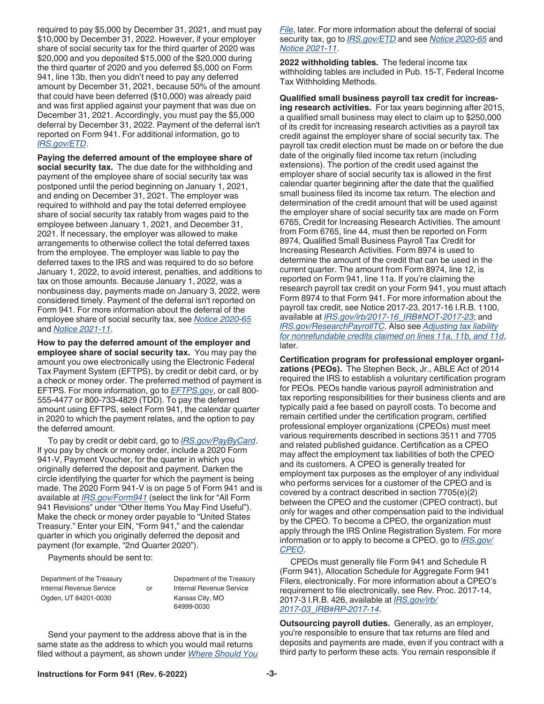<span id="page-2-0"></span>required to pay \$5,000 by December 31, 2021, and must pay \$10,000 by December 31, 2022. However, if your employer share of social security tax for the third quarter of 2020 was \$20,000 and you deposited \$15,000 of the \$20,000 during the third quarter of 2020 and you deferred \$5,000 on Form 941, line 13b, then you didn't need to pay any deferred amount by December 31, 2021, because 50% of the amount that could have been deferred (\$10,000) was already paid and was first applied against your payment that was due on December 31, 2021. Accordingly, you must pay the \$5,000 deferral by December 31, 2022. Payment of the deferral isn't reported on Form 941. For additional information, go to *[IRS.gov/ETD](https://www.irs.gov/etd)*.

**Paying the deferred amount of the employee share of social security tax.** The due date for the withholding and payment of the employee share of social security tax was postponed until the period beginning on January 1, 2021, and ending on December 31, 2021. The employer was required to withhold and pay the total deferred employee share of social security tax ratably from wages paid to the employee between January 1, 2021, and December 31, 2021. If necessary, the employer was allowed to make arrangements to otherwise collect the total deferred taxes from the employee. The employer was liable to pay the deferred taxes to the IRS and was required to do so before January 1, 2022, to avoid interest, penalties, and additions to tax on those amounts. Because January 1, 2022, was a nonbusiness day, payments made on January 3, 2022, were considered timely. Payment of the deferral isn't reported on Form 941. For more information about the deferral of the employee share of social security tax, see *[Notice 2020-65](https://www.irs.gov/irb/2020-38_IRB#NOT-2020-65)*  and *[Notice 2021-11](https://www.irs.gov/irb/2021-06_IRB#NOT-2021-11)*.

**How to pay the deferred amount of the employer and employee share of social security tax.** You may pay the amount you owe electronically using the Electronic Federal Tax Payment System (EFTPS), by credit or debit card, or by a check or money order. The preferred method of payment is EFTPS. For more information, go to *[EFTPS.gov](https://www.eftps.gov)*, or call 800- 555-4477 or 800-733-4829 (TDD). To pay the deferred amount using EFTPS, select Form 941, the calendar quarter in 2020 to which the payment relates, and the option to pay the deferred amount.

To pay by credit or debit card, go to *[IRS.gov/PayByCard](https://www.irs.gov/paybycard)*. If you pay by check or money order, include a 2020 Form 941-V, Payment Voucher, for the quarter in which you originally deferred the deposit and payment. Darken the circle identifying the quarter for which the payment is being made. The 2020 Form 941-V is on page 5 of Form 941 and is available at *[IRS.gov/Form941](https://www.irs.gov/form941)* (select the link for "All Form 941 Revisions" under "Other Items You May Find Useful"). Make the check or money order payable to "United States Treasury." Enter your EIN, "Form 941," and the calendar quarter in which you originally deferred the deposit and payment (for example, "2nd Quarter 2020").

Payments should be sent to:

Department of the Treasury **Department of the Treasury** Internal Revenue Service or Internal Revenue Service Ogden, UT 84201-0030 Kansas City, MO

64999-0030

Send your payment to the address above that is in the same state as the address to which you would mail returns filed without a payment, as shown under *[Where Should You](#page-7-0)*  *[File](#page-7-0)*, later. For more information about the deferral of social security tax, go to *[IRS.gov/ETD](https://www.irs.gov/etd)* and see *[Notice 2020-65](https://www.irs.gov/irb/2020-38_IRB#NOT-2020-65)* and *[Notice 2021-11](https://www.irs.gov/irb/2021-06_IRB#NOT-2021-11)*.

**2022 withholding tables.** The federal income tax withholding tables are included in Pub. 15-T, Federal Income Tax Withholding Methods.

**Qualified small business payroll tax credit for increasing research activities.** For tax years beginning after 2015, a qualified small business may elect to claim up to \$250,000 of its credit for increasing research activities as a payroll tax credit against the employer share of social security tax. The payroll tax credit election must be made on or before the due date of the originally filed income tax return (including extensions). The portion of the credit used against the employer share of social security tax is allowed in the first calendar quarter beginning after the date that the qualified small business filed its income tax return. The election and determination of the credit amount that will be used against the employer share of social security tax are made on Form 6765, Credit for Increasing Research Activities. The amount from Form 6765, line 44, must then be reported on Form 8974, Qualified Small Business Payroll Tax Credit for Increasing Research Activities. Form 8974 is used to determine the amount of the credit that can be used in the current quarter. The amount from Form 8974, line 12, is reported on Form 941, line 11a. If you're claiming the research payroll tax credit on your Form 941, you must attach Form 8974 to that Form 941. For more information about the payroll tax credit, see Notice 2017-23, 2017-16 I.R.B. 1100, available at *[IRS.gov/irb/2017-16\\_IRB#NOT-2017-23](https://www.irs.gov/irb/2017-16_IRB#NOT-2017-23)*; and *[IRS.gov/ResearchPayrollTC](https://www.irs.gov/researchpayrolltc)*. Also see *[Adjusting tax liability](#page-17-0)  [for nonrefundable credits claimed on lines 11a, 11b, and 11d](#page-17-0)*, later.

**Certification program for professional employer organizations (PEOs).** The Stephen Beck, Jr., ABLE Act of 2014 required the IRS to establish a voluntary certification program for PEOs. PEOs handle various payroll administration and tax reporting responsibilities for their business clients and are typically paid a fee based on payroll costs. To become and remain certified under the certification program, certified professional employer organizations (CPEOs) must meet various requirements described in sections 3511 and 7705 and related published guidance. Certification as a CPEO may affect the employment tax liabilities of both the CPEO and its customers. A CPEO is generally treated for employment tax purposes as the employer of any individual who performs services for a customer of the CPEO and is covered by a contract described in section 7705(e)(2) between the CPEO and the customer (CPEO contract), but only for wages and other compensation paid to the individual by the CPEO. To become a CPEO, the organization must apply through the IRS Online Registration System. For more information or to apply to become a CPEO, go to *[IRS.gov/](https://www.irs.gov/cpeo) [CPEO](https://www.irs.gov/cpeo)*.

CPEOs must generally file Form 941 and Schedule R (Form 941), Allocation Schedule for Aggregate Form 941 Filers, electronically. For more information about a CPEO's requirement to file electronically, see Rev. Proc. 2017-14, 2017-3 I.R.B. 426, available at *[IRS.gov/irb/](https://www.irs.gov/irb/2017-03_IRB#RP-2017-14) [2017-03\\_IRB#RP-2017-14](https://www.irs.gov/irb/2017-03_IRB#RP-2017-14)*.

**Outsourcing payroll duties.** Generally, as an employer, you're responsible to ensure that tax returns are filed and deposits and payments are made, even if you contract with a third party to perform these acts. You remain responsible if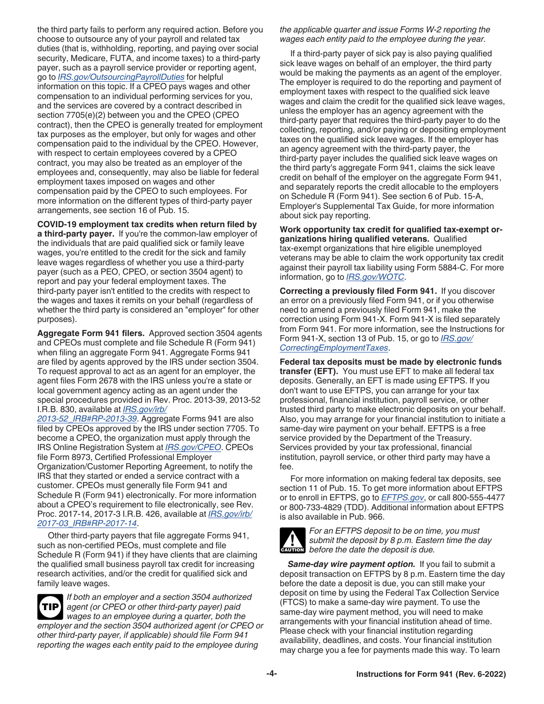<span id="page-3-0"></span>the third party fails to perform any required action. Before you choose to outsource any of your payroll and related tax duties (that is, withholding, reporting, and paying over social security, Medicare, FUTA, and income taxes) to a third-party payer, such as a payroll service provider or reporting agent, go to *[IRS.gov/OutsourcingPayrollDuties](https://www.irs.gov/outsourcingpayrollduties)* for helpful information on this topic. If a CPEO pays wages and other compensation to an individual performing services for you, and the services are covered by a contract described in section 7705(e)(2) between you and the CPEO (CPEO contract), then the CPEO is generally treated for employment tax purposes as the employer, but only for wages and other compensation paid to the individual by the CPEO. However, with respect to certain employees covered by a CPEO contract, you may also be treated as an employer of the employees and, consequently, may also be liable for federal employment taxes imposed on wages and other compensation paid by the CPEO to such employees. For more information on the different types of third-party payer arrangements, see section 16 of Pub. 15.

**COVID-19 employment tax credits when return filed by** 

**a third-party payer.** If you're the common-law employer of the individuals that are paid qualified sick or family leave wages, you're entitled to the credit for the sick and family leave wages regardless of whether you use a third-party payer (such as a PEO, CPEO, or section 3504 agent) to report and pay your federal employment taxes. The third-party payer isn't entitled to the credits with respect to the wages and taxes it remits on your behalf (regardless of whether the third party is considered an "employer" for other purposes).

**Aggregate Form 941 filers.** Approved section 3504 agents and CPEOs must complete and file Schedule R (Form 941) when filing an aggregate Form 941. Aggregate Forms 941 are filed by agents approved by the IRS under section 3504. To request approval to act as an agent for an employer, the agent files Form 2678 with the IRS unless you're a state or local government agency acting as an agent under the special procedures provided in Rev. Proc. 2013-39, 2013-52 I.R.B. 830, available at *[IRS.gov/irb/](https://www.irs.gov/irb/2013-52_IRB#RP-2013-39)*

*[2013-52\\_IRB#RP-2013-39](https://www.irs.gov/irb/2013-52_IRB#RP-2013-39)*. Aggregate Forms 941 are also filed by CPEOs approved by the IRS under section 7705. To become a CPEO, the organization must apply through the IRS Online Registration System at *[IRS.gov/CPEO](https://www.irs.gov/cpeo)*. CPEOs file Form 8973, Certified Professional Employer Organization/Customer Reporting Agreement, to notify the IRS that they started or ended a service contract with a customer. CPEOs must generally file Form 941 and Schedule R (Form 941) electronically. For more information about a CPEO's requirement to file electronically, see Rev. Proc. 2017-14, 2017-3 I.R.B. 426, available at *[IRS.gov/irb/](https://www.irs.gov/irb/2017-03_IRB#RP-2017-14) [2017-03\\_IRB#RP-2017-14](https://www.irs.gov/irb/2017-03_IRB#RP-2017-14)*.

Other third-party payers that file aggregate Forms 941, such as non-certified PEOs, must complete and file Schedule R (Form 941) if they have clients that are claiming the qualified small business payroll tax credit for increasing research activities, and/or the credit for qualified sick and family leave wages.

**TIP**

*If both an employer and a section 3504 authorized agent (or CPEO or other third-party payer) paid wages to an employee during a quarter, both the employer and the section 3504 authorized agent (or CPEO or other third-party payer, if applicable) should file Form 941 reporting the wages each entity paid to the employee during* 

*the applicable quarter and issue Forms W-2 reporting the wages each entity paid to the employee during the year.*

If a third-party payer of sick pay is also paying qualified sick leave wages on behalf of an employer, the third party would be making the payments as an agent of the employer. The employer is required to do the reporting and payment of employment taxes with respect to the qualified sick leave wages and claim the credit for the qualified sick leave wages, unless the employer has an agency agreement with the third-party payer that requires the third-party payer to do the collecting, reporting, and/or paying or depositing employment taxes on the qualified sick leave wages. If the employer has an agency agreement with the third-party payer, the third-party payer includes the qualified sick leave wages on the third party's aggregate Form 941, claims the sick leave credit on behalf of the employer on the aggregate Form 941, and separately reports the credit allocable to the employers on Schedule R (Form 941). See section 6 of Pub. 15-A, Employer's Supplemental Tax Guide, for more information about sick pay reporting.

**Work opportunity tax credit for qualified tax-exempt organizations hiring qualified veterans.** Qualified tax-exempt organizations that hire eligible unemployed veterans may be able to claim the work opportunity tax credit against their payroll tax liability using Form 5884-C. For more information, go to *[IRS.gov/WOTC](https://www.irs.gov/wotc)*.

**Correcting a previously filed Form 941.** If you discover an error on a previously filed Form 941, or if you otherwise need to amend a previously filed Form 941, make the correction using Form 941-X. Form 941-X is filed separately from Form 941. For more information, see the Instructions for Form 941-X, section 13 of Pub. 15, or go to *[IRS.gov/](https://www.irs.gov/correctingemploymenttaxes) [CorrectingEmploymentTaxes](https://www.irs.gov/correctingemploymenttaxes)*.

**Federal tax deposits must be made by electronic funds transfer (EFT).** You must use EFT to make all federal tax deposits. Generally, an EFT is made using EFTPS. If you don't want to use EFTPS, you can arrange for your tax professional, financial institution, payroll service, or other trusted third party to make electronic deposits on your behalf. Also, you may arrange for your financial institution to initiate a same-day wire payment on your behalf. EFTPS is a free service provided by the Department of the Treasury. Services provided by your tax professional, financial institution, payroll service, or other third party may have a fee.

For more information on making federal tax deposits, see section 11 of Pub. 15. To get more information about EFTPS or to enroll in EFTPS, go to *[EFTPS.gov](https://www.eftps.gov)*, or call 800-555-4477 or 800-733-4829 (TDD). Additional information about EFTPS is also available in Pub. 966.



*For an EFTPS deposit to be on time, you must submit the deposit by 8 p.m. Eastern time the day*  **c** submit the deposit by 8 p.m. Easte<br> **CAUTION** before the date the deposit is due.

*Same-day wire payment option.* If you fail to submit a deposit transaction on EFTPS by 8 p.m. Eastern time the day before the date a deposit is due, you can still make your deposit on time by using the Federal Tax Collection Service (FTCS) to make a same-day wire payment. To use the same-day wire payment method, you will need to make arrangements with your financial institution ahead of time. Please check with your financial institution regarding availability, deadlines, and costs. Your financial institution may charge you a fee for payments made this way. To learn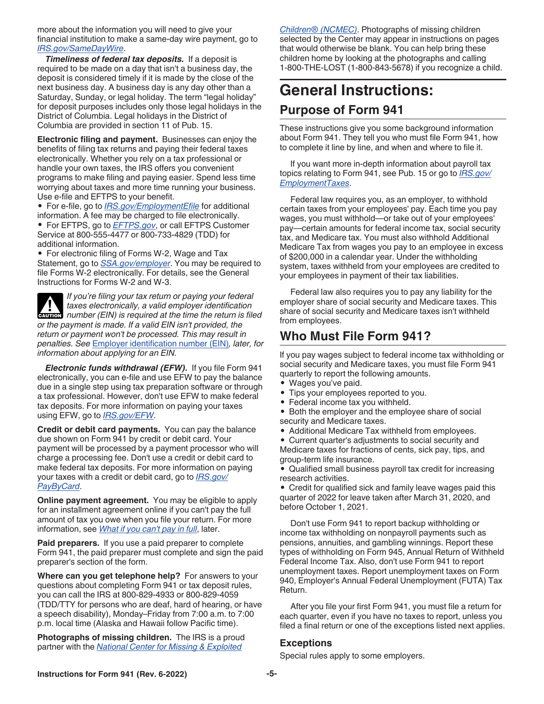<span id="page-4-0"></span>more about the information you will need to give your financial institution to make a same-day wire payment, go to *[IRS.gov/SameDayWire](https://www.irs.gov/samedaywire)*.

*Timeliness of federal tax deposits.* If a deposit is required to be made on a day that isn't a business day, the deposit is considered timely if it is made by the close of the next business day. A business day is any day other than a Saturday, Sunday, or legal holiday. The term "legal holiday" for deposit purposes includes only those legal holidays in the District of Columbia. Legal holidays in the District of Columbia are provided in section 11 of Pub. 15.

**Electronic filing and payment.** Businesses can enjoy the benefits of filing tax returns and paying their federal taxes electronically. Whether you rely on a tax professional or handle your own taxes, the IRS offers you convenient programs to make filing and paying easier. Spend less time worrying about taxes and more time running your business. Use e-file and EFTPS to your benefit.

• For e-file, go to *[IRS.gov/EmploymentEfile](https://www.irs.gov/employmentefile)* for additional information. A fee may be charged to file electronically.

• For EFTPS, go to *[EFTPS.gov](https://www.eftps.gov)*, or call EFTPS Customer Service at 800-555-4477 or 800-733-4829 (TDD) for additional information.

• For electronic filing of Forms W-2, Wage and Tax Statement, go to *[SSA.gov/employer](https://www.ssa.gov/employer)*. You may be required to file Forms W-2 electronically. For details, see the General Instructions for Forms W-2 and W-3.

*If you're filing your tax return or paying your federal taxes electronically, a valid employer identification*  **z** taxes electronically, a valid employer identification number (EIN) is required at the time the return is filed *or the payment is made. If a valid EIN isn't provided, the return or payment won't be processed. This may result in penalties. See* [Employer identification number \(EIN\)](#page-6-0)*, later, for information about applying for an EIN.*

*Electronic funds withdrawal (EFW).* If you file Form 941 electronically, you can e-file and use EFW to pay the balance due in a single step using tax preparation software or through a tax professional. However, don't use EFW to make federal tax deposits. For more information on paying your taxes using EFW, go to *[IRS.gov/EFW](https://www.irs.gov/efw)*.

**Credit or debit card payments.** You can pay the balance due shown on Form 941 by credit or debit card. Your payment will be processed by a payment processor who will charge a processing fee. Don't use a credit or debit card to make federal tax deposits. For more information on paying your taxes with a credit or debit card, go to *[IRS.gov/](https://www.irs.gov/paybycard) [PayByCard](https://www.irs.gov/paybycard)*.

**Online payment agreement.** You may be eligible to apply for an installment agreement online if you can't pay the full amount of tax you owe when you file your return. For more information, see *[What if you can't pay in full](#page-16-0)*, later.

**Paid preparers.** If you use a paid preparer to complete Form 941, the paid preparer must complete and sign the paid preparer's section of the form.

**Where can you get telephone help?** For answers to your questions about completing Form 941 or tax deposit rules, you can call the IRS at 800-829-4933 or 800-829-4059 (TDD/TTY for persons who are deaf, hard of hearing, or have a speech disability), Monday–Friday from 7:00 a.m. to 7:00 p.m. local time (Alaska and Hawaii follow Pacific time).

**Photographs of missing children.** The IRS is a proud partner with the *[National Center for Missing & Exploited](https://www.missingkids.org)* 

*[Children® \(NCMEC\)](https://www.missingkids.org)*. Photographs of missing children selected by the Center may appear in instructions on pages that would otherwise be blank. You can help bring these children home by looking at the photographs and calling 1-800-THE-LOST (1-800-843-5678) if you recognize a child.

# **General Instructions: Purpose of Form 941**

These instructions give you some background information about Form 941. They tell you who must file Form 941, how to complete it line by line, and when and where to file it.

If you want more in-depth information about payroll tax topics relating to Form 941, see Pub. 15 or go to *[IRS.gov/](https://www.irs.gov/employmenttaxes) [EmploymentTaxes](https://www.irs.gov/employmenttaxes)*.

Federal law requires you, as an employer, to withhold certain taxes from your employees' pay. Each time you pay wages, you must withhold—or take out of your employees' pay—certain amounts for federal income tax, social security tax, and Medicare tax. You must also withhold Additional Medicare Tax from wages you pay to an employee in excess of \$200,000 in a calendar year. Under the withholding system, taxes withheld from your employees are credited to your employees in payment of their tax liabilities.

Federal law also requires you to pay any liability for the employer share of social security and Medicare taxes. This share of social security and Medicare taxes isn't withheld from employees.

# **Who Must File Form 941?**

If you pay wages subject to federal income tax withholding or social security and Medicare taxes, you must file Form 941 quarterly to report the following amounts.

- Wages you've paid.
- Tips your employees reported to you.
- Federal income tax you withheld.
- Both the employer and the employee share of social security and Medicare taxes.
- Additional Medicare Tax withheld from employees.

• Current quarter's adjustments to social security and Medicare taxes for fractions of cents, sick pay, tips, and group-term life insurance.

• Qualified small business payroll tax credit for increasing research activities.

• Credit for qualified sick and family leave wages paid this quarter of 2022 for leave taken after March 31, 2020, and before October 1, 2021.

Don't use Form 941 to report backup withholding or income tax withholding on nonpayroll payments such as pensions, annuities, and gambling winnings. Report these types of withholding on Form 945, Annual Return of Withheld Federal Income Tax. Also, don't use Form 941 to report unemployment taxes. Report unemployment taxes on Form 940, Employer's Annual Federal Unemployment (FUTA) Tax Return.

After you file your first Form 941, you must file a return for each quarter, even if you have no taxes to report, unless you filed a final return or one of the exceptions listed next applies.

# **Exceptions**

Special rules apply to some employers.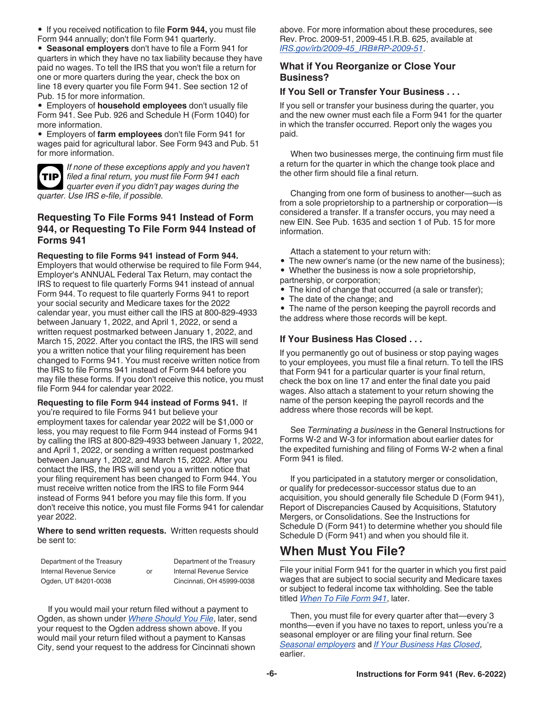<span id="page-5-0"></span>• If you received notification to file **Form 944,** you must file Form 944 annually; don't file Form 941 quarterly.

• **Seasonal employers** don't have to file a Form 941 for quarters in which they have no tax liability because they have paid no wages. To tell the IRS that you won't file a return for one or more quarters during the year, check the box on line 18 every quarter you file Form 941. See section 12 of Pub. 15 for more information.

• Employers of **household employees** don't usually file Form 941. See Pub. 926 and Schedule H (Form 1040) for more information.

• Employers of **farm employees** don't file Form 941 for wages paid for agricultural labor. See Form 943 and Pub. 51 for more information.



*If none of these exceptions apply and you haven't filed a final return, you must file Form 941 each*  **TIP** *quarter even if you didn't pay wages during the quarter. Use IRS e-file, if possible.*

#### **Requesting To File Forms 941 Instead of Form 944, or Requesting To File Form 944 Instead of Forms 941**

**Requesting to file Forms 941 instead of Form 944.**  Employers that would otherwise be required to file Form 944, Employer's ANNUAL Federal Tax Return, may contact the IRS to request to file quarterly Forms 941 instead of annual Form 944. To request to file quarterly Forms 941 to report your social security and Medicare taxes for the 2022 calendar year, you must either call the IRS at 800-829-4933 between January 1, 2022, and April 1, 2022, or send a written request postmarked between January 1, 2022, and March 15, 2022. After you contact the IRS, the IRS will send you a written notice that your filing requirement has been changed to Forms 941. You must receive written notice from the IRS to file Forms 941 instead of Form 944 before you may file these forms. If you don't receive this notice, you must file Form 944 for calendar year 2022.

**Requesting to file Form 944 instead of Forms 941.** If you're required to file Forms 941 but believe your employment taxes for calendar year 2022 will be \$1,000 or less, you may request to file Form 944 instead of Forms 941 by calling the IRS at 800-829-4933 between January 1, 2022, and April 1, 2022, or sending a written request postmarked between January 1, 2022, and March 15, 2022. After you contact the IRS, the IRS will send you a written notice that your filing requirement has been changed to Form 944. You must receive written notice from the IRS to file Form 944 instead of Forms 941 before you may file this form. If you don't receive this notice, you must file Forms 941 for calendar year 2022.

**Where to send written requests.** Written requests should be sent to:

| Department of the Treasury |    | Department of the Treasury |
|----------------------------|----|----------------------------|
| Internal Revenue Service   | or | Internal Revenue Service   |
| Ogden, UT 84201-0038       |    | Cincinnati, OH 45999-0038  |

If you would mail your return filed without a payment to Ogden, as shown under *[Where Should You File](#page-7-0)*, later, send your request to the Ogden address shown above. If you would mail your return filed without a payment to Kansas City, send your request to the address for Cincinnati shown

above. For more information about these procedures, see Rev. Proc. 2009-51, 2009-45 I.R.B. 625, available at *[IRS.gov/irb/2009-45\\_IRB#RP-2009-51](https://www.irs.gov/irb/2009-45_IRB#RP-2009-51)*.

### **What if You Reorganize or Close Your Business?**

#### **If You Sell or Transfer Your Business . . .**

If you sell or transfer your business during the quarter, you and the new owner must each file a Form 941 for the quarter in which the transfer occurred. Report only the wages you paid.

When two businesses merge, the continuing firm must file a return for the quarter in which the change took place and the other firm should file a final return.

Changing from one form of business to another—such as from a sole proprietorship to a partnership or corporation—is considered a transfer. If a transfer occurs, you may need a new EIN. See Pub. 1635 and section 1 of Pub. 15 for more information.

Attach a statement to your return with:

- The new owner's name (or the new name of the business);
- Whether the business is now a sole proprietorship,
- partnership, or corporation;
- The kind of change that occurred (a sale or transfer);
- The date of the change; and

• The name of the person keeping the payroll records and the address where those records will be kept.

#### **If Your Business Has Closed . . .**

If you permanently go out of business or stop paying wages to your employees, you must file a final return. To tell the IRS that Form 941 for a particular quarter is your final return, check the box on line 17 and enter the final date you paid wages. Also attach a statement to your return showing the name of the person keeping the payroll records and the address where those records will be kept.

See *Terminating a business* in the General Instructions for Forms W-2 and W-3 for information about earlier dates for the expedited furnishing and filing of Forms W-2 when a final Form 941 is filed.

If you participated in a statutory merger or consolidation, or qualify for predecessor-successor status due to an acquisition, you should generally file Schedule D (Form 941), Report of Discrepancies Caused by Acquisitions, Statutory Mergers, or Consolidations. See the Instructions for Schedule D (Form 941) to determine whether you should file Schedule D (Form 941) and when you should file it.

# **When Must You File?**

File your initial Form 941 for the quarter in which you first paid wages that are subject to social security and Medicare taxes or subject to federal income tax withholding. See the table titled *[When To File Form 941](#page-6-0)*, later.

Then, you must file for every quarter after that—every 3 months—even if you have no taxes to report, unless you're a seasonal employer or are filing your final return. See *[Seasonal employers](#page-4-0)* and *If Your Business Has Closed*, earlier.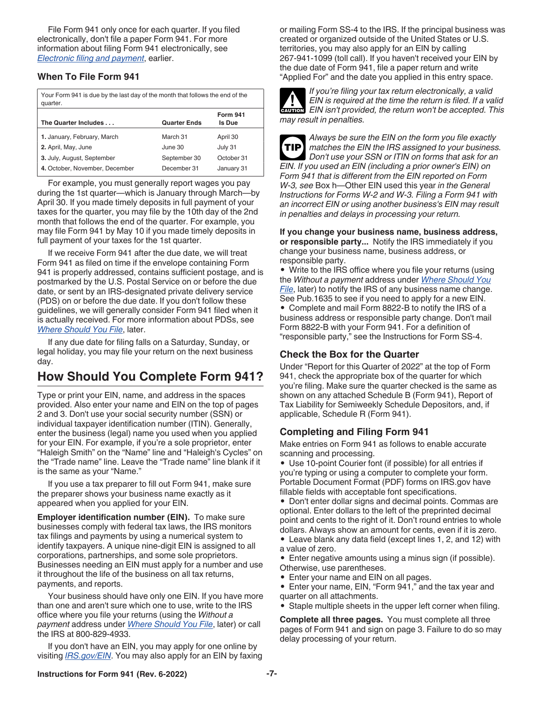<span id="page-6-0"></span>File Form 941 only once for each quarter. If you filed electronically, don't file a paper Form 941. For more information about filing Form 941 electronically, see *[Electronic filing and payment](#page-4-0)*, earlier.

#### **When To File Form 941**

| Your Form 941 is due by the last day of the month that follows the end of the<br>quarter. |                     |                                  |  |  |
|-------------------------------------------------------------------------------------------|---------------------|----------------------------------|--|--|
| The Quarter Includes                                                                      | <b>Quarter Ends</b> | <b>Form 941</b><br><b>Is Due</b> |  |  |
| 1. January, February, March                                                               | March 31            | April 30                         |  |  |
| 2. April, May, June                                                                       | June 30             | July 31                          |  |  |
| 3. July, August, September                                                                | September 30        | October 31                       |  |  |

**4.** October, November, December December 31 January 31

For example, you must generally report wages you pay during the 1st quarter—which is January through March—by April 30. If you made timely deposits in full payment of your taxes for the quarter, you may file by the 10th day of the 2nd month that follows the end of the quarter. For example, you may file Form 941 by May 10 if you made timely deposits in full payment of your taxes for the 1st quarter.

If we receive Form 941 after the due date, we will treat Form 941 as filed on time if the envelope containing Form 941 is properly addressed, contains sufficient postage, and is postmarked by the U.S. Postal Service on or before the due date, or sent by an IRS-designated private delivery service (PDS) on or before the due date. If you don't follow these guidelines, we will generally consider Form 941 filed when it is actually received. For more information about PDSs, see *[Where Should You File](#page-7-0)*, later.

If any due date for filing falls on a Saturday, Sunday, or legal holiday, you may file your return on the next business day.

# **How Should You Complete Form 941?**

Type or print your EIN, name, and address in the spaces provided. Also enter your name and EIN on the top of pages 2 and 3. Don't use your social security number (SSN) or individual taxpayer identification number (ITIN). Generally, enter the business (legal) name you used when you applied for your EIN. For example, if you're a sole proprietor, enter "Haleigh Smith" on the "Name" line and "Haleigh's Cycles" on the "Trade name" line. Leave the "Trade name" line blank if it is the same as your "Name."

If you use a tax preparer to fill out Form 941, make sure the preparer shows your business name exactly as it appeared when you applied for your EIN.

**Employer identification number (EIN).** To make sure businesses comply with federal tax laws, the IRS monitors tax filings and payments by using a numerical system to identify taxpayers. A unique nine-digit EIN is assigned to all corporations, partnerships, and some sole proprietors. Businesses needing an EIN must apply for a number and use it throughout the life of the business on all tax returns, payments, and reports.

Your business should have only one EIN. If you have more than one and aren't sure which one to use, write to the IRS office where you file your returns (using the *Without a payment* address under *[Where Should You File](#page-7-0)*, later) or call the IRS at 800-829-4933.

If you don't have an EIN, you may apply for one online by visiting *[IRS.gov/EIN](https://www.irs.gov/ein)*. You may also apply for an EIN by faxing or mailing Form SS-4 to the IRS. If the principal business was created or organized outside of the United States or U.S. territories, you may also apply for an EIN by calling 267-941-1099 (toll call). If you haven't received your EIN by the due date of Form 941, file a paper return and write "Applied For" and the date you applied in this entry space.



*If you're filing your tax return electronically, a valid EIN is required at the time the return is filed. If a valid*  **EIN** is required at the time the return is filed. If a valid **CAUTION**<br> **CAUTION** EIN isn't provided, the return won't be accepted. This *may result in penalties.*

*Always be sure the EIN on the form you file exactly matches the EIN the IRS assigned to your business. Don't use your SSN or ITIN on forms that ask for an EIN. If you used an EIN (including a prior owner's EIN) on Form 941 that is different from the EIN reported on Form W-3, see* Box h—Other EIN used this year *in the General Instructions for Forms W-2 and W-3. Filing a Form 941 with an incorrect EIN or using another business's EIN may result in penalties and delays in processing your return.* **TIP**

#### **If you change your business name, business address, or responsible party...** Notify the IRS immediately if you change your business name, business address, or responsible party.

• Write to the IRS office where you file your returns (using the *Without a payment* address under *[Where Should You](#page-7-0)  [File](#page-7-0)*, later) to notify the IRS of any business name change. See Pub.1635 to see if you need to apply for a new EIN. • Complete and mail Form 8822-B to notify the IRS of a business address or responsible party change. Don't mail Form 8822-B with your Form 941. For a definition of "responsible party," see the Instructions for Form SS-4.

# **Check the Box for the Quarter**

Under "Report for this Quarter of 2022" at the top of Form 941, check the appropriate box of the quarter for which you're filing. Make sure the quarter checked is the same as shown on any attached Schedule B (Form 941), Report of Tax Liability for Semiweekly Schedule Depositors, and, if applicable, Schedule R (Form 941).

# **Completing and Filing Form 941**

Make entries on Form 941 as follows to enable accurate scanning and processing.

• Use 10-point Courier font (if possible) for all entries if you're typing or using a computer to complete your form. Portable Document Format (PDF) forms on IRS.gov have fillable fields with acceptable font specifications.

• Don't enter dollar signs and decimal points. Commas are optional. Enter dollars to the left of the preprinted decimal point and cents to the right of it. Don't round entries to whole dollars. Always show an amount for cents, even if it is zero.

• Leave blank any data field (except lines 1, 2, and 12) with a value of zero.

• Enter negative amounts using a minus sign (if possible). Otherwise, use parentheses.

• Enter your name and EIN on all pages.

• Enter your name, EIN, "Form 941," and the tax year and quarter on all attachments.

• Staple multiple sheets in the upper left corner when filing.

**Complete all three pages.** You must complete all three pages of Form 941 and sign on page 3. Failure to do so may delay processing of your return.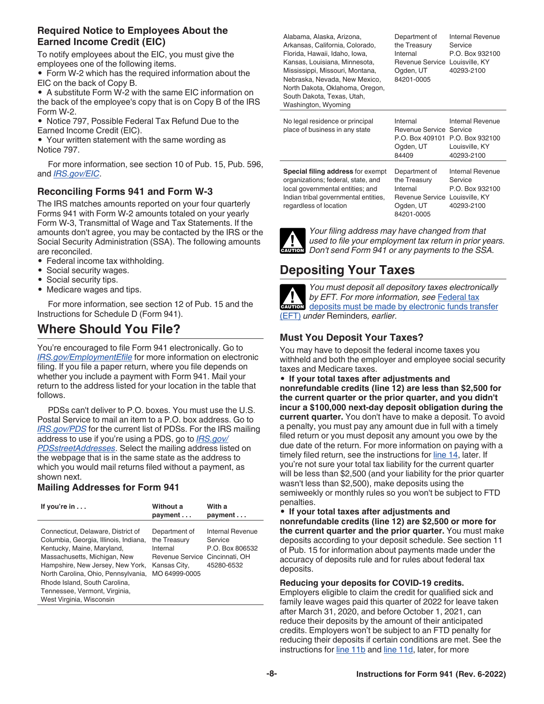# <span id="page-7-0"></span>**Required Notice to Employees About the Earned Income Credit (EIC)**

To notify employees about the EIC, you must give the employees one of the following items.

• Form W-2 which has the required information about the EIC on the back of Copy B.

• A substitute Form W-2 with the same EIC information on the back of the employee's copy that is on Copy B of the IRS Form W-2.

• Notice 797, Possible Federal Tax Refund Due to the Earned Income Credit (EIC).

• Your written statement with the same wording as Notice 797.

For more information, see section 10 of Pub. 15, Pub. 596, and *[IRS.gov/EIC](https://www.irs.gov/eic)*.

# **Reconciling Forms 941 and Form W-3**

The IRS matches amounts reported on your four quarterly Forms 941 with Form W-2 amounts totaled on your yearly Form W-3, Transmittal of Wage and Tax Statements. If the amounts don't agree, you may be contacted by the IRS or the Social Security Administration (SSA). The following amounts are reconciled.

- Federal income tax withholding.
- Social security wages.
- Social security tips.
- Medicare wages and tips.

For more information, see section 12 of Pub. 15 and the Instructions for Schedule D (Form 941).

# **Where Should You File?**

You're encouraged to file Form 941 electronically. Go to *[IRS.gov/EmploymentEfile](https://www.irs.gov/employmentefile)* for more information on electronic filing. If you file a paper return, where you file depends on whether you include a payment with Form 941. Mail your return to the address listed for your location in the table that follows.

PDSs can't deliver to P.O. boxes. You must use the U.S. Postal Service to mail an item to a P.O. box address. Go to *[IRS.gov/PDS](https://www.irs.gov/pds)* for the current list of PDSs. For the IRS mailing address to use if you're using a PDS, go to *[IRS.gov/](https://www.irs.gov/pdsstreetaddresses) [PDSstreetAddresses](https://www.irs.gov/pdsstreetaddresses)*. Select the mailing address listed on the webpage that is in the same state as the address to which you would mail returns filed without a payment, as shown next.

#### **Mailing Addresses for Form 941**

| If you're $in$                                                                                                                                                                                                                                                                                                     | Without a<br>payment                                                                          | With a<br>payment                                                              |
|--------------------------------------------------------------------------------------------------------------------------------------------------------------------------------------------------------------------------------------------------------------------------------------------------------------------|-----------------------------------------------------------------------------------------------|--------------------------------------------------------------------------------|
| Connecticut, Delaware, District of<br>Columbia, Georgia, Illinois, Indiana,<br>Kentucky, Maine, Maryland,<br>Massachusetts, Michigan, New<br>Hampshire, New Jersey, New York,<br>North Carolina, Ohio, Pennsylvania,<br>Rhode Island, South Carolina,<br>Tennessee, Vermont, Virginia,<br>West Virginia, Wisconsin | Department of<br>the Treasury<br>Internal<br>Revenue Service<br>Kansas City,<br>MO 64999-0005 | Internal Revenue<br>Service<br>P.O. Box 806532<br>Cincinnati, OH<br>45280-6532 |

Alabama, Alaska, Arizona, Arkansas, California, Colorado, Florida, Hawaii, Idaho, Iowa, Kansas, Louisiana, Minnesota, Mississippi, Missouri, Montana, Nebraska, Nevada, New Mexico, North Dakota, Oklahoma, Oregon, South Dakota, Texas, Utah, Washington, Wyoming

Department of the Treasury Internal Revenue Service Louisville, KY Ogden, UT 84201-0005 Internal Revenue Service P.O. Box 932100 40293-2100

| No legal residence or principal<br>place of business in any state                                                                                                                    | Internal<br>Revenue Service Service<br>P.O. Box 409101 P.O. Box 932100<br>Ogden, UT<br>84409 | Internal Revenue<br>Louisville, KY<br>40293-2100                               |
|--------------------------------------------------------------------------------------------------------------------------------------------------------------------------------------|----------------------------------------------------------------------------------------------|--------------------------------------------------------------------------------|
| <b>Special filing address for exempt</b><br>organizations; federal, state, and<br>local governmental entities; and<br>Indian tribal governmental entities,<br>regardless of location | Department of<br>the Treasury<br>Internal<br>Revenue Service<br>Ogden, UT<br>84201-0005      | Internal Revenue<br>Service<br>P.O. Box 932100<br>Louisville, KY<br>40293-2100 |



*Your filing address may have changed from that used to file your employment tax return in prior years.*  **Don't send Form 941 or any payments to the SSA.** 

# **Depositing Your Taxes**



*You must deposit all depository taxes electronically by EFT. For more information, see* [Federal tax](#page-3-0)  by EFT. For more information, see **Federal tax**<br>deposits must be made by electronic funds transfer [\(EFT\)](#page-3-0) *under* Reminders*, earlier.*

# **Must You Deposit Your Taxes?**

You may have to deposit the federal income taxes you withheld and both the employer and employee social security taxes and Medicare taxes.

• **If your total taxes after adjustments and nonrefundable credits (line 12) are less than \$2,500 for the current quarter or the prior quarter, and you didn't incur a \$100,000 next-day deposit obligation during the current quarter.** You don't have to make a deposit. To avoid a penalty, you must pay any amount due in full with a timely filed return or you must deposit any amount you owe by the due date of the return. For more information on paying with a timely filed return, see the instructions for [line 14,](#page-15-0) later. If you're not sure your total tax liability for the current quarter will be less than \$2,500 (and your liability for the prior quarter wasn't less than \$2,500), make deposits using the semiweekly or monthly rules so you won't be subject to FTD penalties.

• **If your total taxes after adjustments and nonrefundable credits (line 12) are \$2,500 or more for the current quarter and the prior quarter.** You must make deposits according to your deposit schedule. See section 11 of Pub. 15 for information about payments made under the accuracy of deposits rule and for rules about federal tax deposits.

**Reducing your deposits for COVID-19 credits.** 

Employers eligible to claim the credit for qualified sick and family leave wages paid this quarter of 2022 for leave taken after March 31, 2020, and before October 1, 2021, can reduce their deposits by the amount of their anticipated credits. Employers won't be subject to an FTD penalty for reducing their deposits if certain conditions are met. See the instructions for [line 11b](#page-13-0) and [line 11d](#page-13-0), later, for more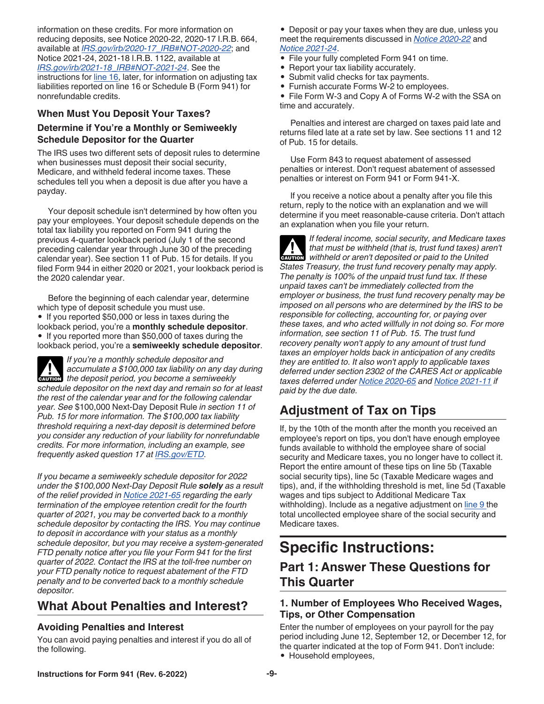<span id="page-8-0"></span>information on these credits. For more information on reducing deposits, see Notice 2020-22, 2020-17 I.R.B. 664, available at *[IRS.gov/irb/2020-17\\_IRB#NOT-2020-22](https://www.irs.gov/irb/2020-17_IRB#NOT-2020-22)*; and Notice 2021-24, 2021-18 I.R.B. 1122, available at *[IRS.gov/irb/2021-18\\_IRB#NOT-2021-24](https://www.irs.gov/irb/2021-18_IRB#NOT-2021-24)*. See the instructions for [line 16](#page-16-0), later, for information on adjusting tax liabilities reported on line 16 or Schedule B (Form 941) for nonrefundable credits.

# **When Must You Deposit Your Taxes?**

#### **Determine if You're a Monthly or Semiweekly Schedule Depositor for the Quarter**

The IRS uses two different sets of deposit rules to determine when businesses must deposit their social security, Medicare, and withheld federal income taxes. These schedules tell you when a deposit is due after you have a payday.

Your deposit schedule isn't determined by how often you pay your employees. Your deposit schedule depends on the total tax liability you reported on Form 941 during the previous 4-quarter lookback period (July 1 of the second preceding calendar year through June 30 of the preceding calendar year). See section 11 of Pub. 15 for details. If you filed Form 944 in either 2020 or 2021, your lookback period is the 2020 calendar year.

Before the beginning of each calendar year, determine which type of deposit schedule you must use. • If you reported \$50,000 or less in taxes during the lookback period, you're a **monthly schedule depositor**. • If you reported more than \$50,000 of taxes during the lookback period, you're a **semiweekly schedule depositor**.

*If you're a monthly schedule depositor and accumulate a \$100,000 tax liability on any day during*  **z** accumulate a \$100,000 tax liability on any day the deposit period, you become a semiweekly *schedule depositor on the next day and remain so for at least the rest of the calendar year and for the following calendar year. See* \$100,000 Next-Day Deposit Rule *in section 11 of Pub. 15 for more information. The \$100,000 tax liability threshold requiring a next-day deposit is determined before you consider any reduction of your liability for nonrefundable credits. For more information, including an example, see frequently asked question 17 at [IRS.gov/ETD.](https://www.irs.gov/etd)*

*If you became a semiweekly schedule depositor for 2022 under the \$100,000 Next-Day Deposit Rule solely as a result of the relief provided in [Notice 2021-65](https://www.irs.gov/irb/2021-51_IRB#NOT-2021-65) regarding the early termination of the employee retention credit for the fourth quarter of 2021, you may be converted back to a monthly schedule depositor by contacting the IRS. You may continue to deposit in accordance with your status as a monthly schedule depositor, but you may receive a system-generated FTD penalty notice after you file your Form 941 for the first quarter of 2022. Contact the IRS at the toll-free number on your FTD penalty notice to request abatement of the FTD penalty and to be converted back to a monthly schedule depositor.*

# **What About Penalties and Interest?**

# **Avoiding Penalties and Interest**

You can avoid paying penalties and interest if you do all of the following.

• Deposit or pay your taxes when they are due, unless you meet the requirements discussed in *[Notice 2020-22](https://www.irs.gov/irb/2020-17_IRB#NOT-2020-22)* and *[Notice 2021-24](https://www.irs.gov/irb/2021-18_IRB#NOT-2021-24)*.

- File your fully completed Form 941 on time.
- Report your tax liability accurately.
- Submit valid checks for tax payments.
- Furnish accurate Forms W-2 to employees.

• File Form W-3 and Copy A of Forms W-2 with the SSA on time and accurately.

Penalties and interest are charged on taxes paid late and returns filed late at a rate set by law. See sections 11 and 12 of Pub. 15 for details.

Use Form 843 to request abatement of assessed penalties or interest. Don't request abatement of assessed penalties or interest on Form 941 or Form 941-X.

If you receive a notice about a penalty after you file this return, reply to the notice with an explanation and we will determine if you meet reasonable-cause criteria. Don't attach an explanation when you file your return.

*If federal income, social security, and Medicare taxes that must be withheld (that is, trust fund taxes) aren't withheld or aren't deposited or paid to the United States Treasury, the trust fund recovery penalty may apply. The penalty is 100% of the unpaid trust fund tax. If these unpaid taxes can't be immediately collected from the employer or business, the trust fund recovery penalty may be imposed on all persons who are determined by the IRS to be responsible for collecting, accounting for, or paying over these taxes, and who acted willfully in not doing so. For more information, see section 11 of Pub. 15. The trust fund recovery penalty won't apply to any amount of trust fund taxes an employer holds back in anticipation of any credits they are entitled to. It also won't apply to applicable taxes deferred under section 2302 of the CARES Act or applicable taxes deferred under [Notice 2020-65](https://www.irs.gov/irb/2020-38_IRB#NOT-2020-65) and [Notice 2021-11](https://www.irs.gov/irb/2021-06_IRB#NOT-2021-11) if paid by the due date.* **CAUTION !**

# **Adjustment of Tax on Tips**

If, by the 10th of the month after the month you received an employee's report on tips, you don't have enough employee funds available to withhold the employee share of social security and Medicare taxes, you no longer have to collect it. Report the entire amount of these tips on line 5b (Taxable social security tips), line 5c (Taxable Medicare wages and tips), and, if the withholding threshold is met, line 5d (Taxable wages and tips subject to Additional Medicare Tax withholding). Include as a negative adjustment on [line 9 t](#page-12-0)he total uncollected employee share of the social security and Medicare taxes.

# **Specific Instructions:**

# **Part 1: Answer These Questions for This Quarter**

# **1. Number of Employees Who Received Wages, Tips, or Other Compensation**

Enter the number of employees on your payroll for the pay period including June 12, September 12, or December 12, for the quarter indicated at the top of Form 941. Don't include: • Household employees,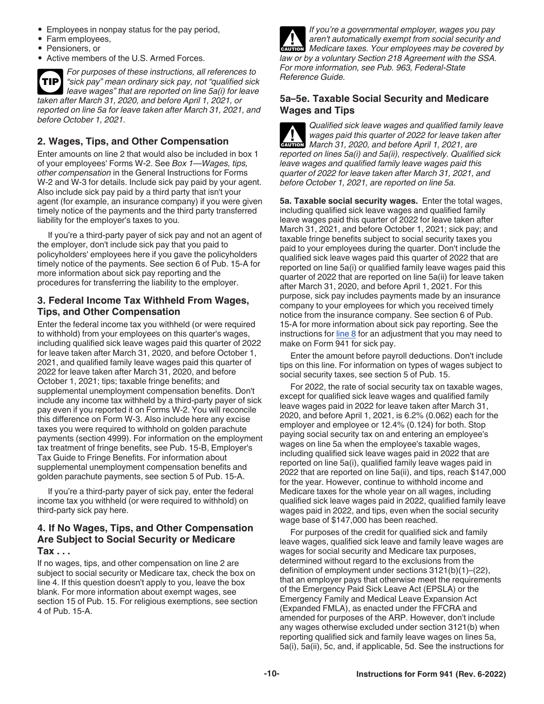- <span id="page-9-0"></span>• Employees in nonpay status for the pay period,
- Farm employees,
- Pensioners, or
- Active members of the U.S. Armed Forces.

*For purposes of these instructions, all references to "sick pay" mean ordinary sick pay, not "qualified sick leave wages" that are reported on line 5a(i) for leave taken after March 31, 2020, and before April 1, 2021, or reported on line 5a for leave taken after March 31, 2021, and before October 1, 2021.* **TIP**

# **2. Wages, Tips, and Other Compensation**

Enter amounts on line 2 that would also be included in box 1 of your employees' Forms W-2. See *Box 1—Wages, tips, other compensation* in the General Instructions for Forms W-2 and W-3 for details. Include sick pay paid by your agent. Also include sick pay paid by a third party that isn't your agent (for example, an insurance company) if you were given timely notice of the payments and the third party transferred liability for the employer's taxes to you.

If you're a third-party payer of sick pay and not an agent of the employer, don't include sick pay that you paid to policyholders' employees here if you gave the policyholders timely notice of the payments. See section 6 of Pub. 15-A for more information about sick pay reporting and the procedures for transferring the liability to the employer.

### **3. Federal Income Tax Withheld From Wages, Tips, and Other Compensation**

Enter the federal income tax you withheld (or were required to withhold) from your employees on this quarter's wages, including qualified sick leave wages paid this quarter of 2022 for leave taken after March 31, 2020, and before October 1, 2021, and qualified family leave wages paid this quarter of 2022 for leave taken after March 31, 2020, and before October 1, 2021; tips; taxable fringe benefits; and supplemental unemployment compensation benefits. Don't include any income tax withheld by a third-party payer of sick pay even if you reported it on Forms W-2. You will reconcile this difference on Form W-3. Also include here any excise taxes you were required to withhold on golden parachute payments (section 4999). For information on the employment tax treatment of fringe benefits, see Pub. 15-B, Employer's Tax Guide to Fringe Benefits. For information about supplemental unemployment compensation benefits and golden parachute payments, see section 5 of Pub. 15-A.

If you're a third-party payer of sick pay, enter the federal income tax you withheld (or were required to withhold) on third-party sick pay here.

# **4. If No Wages, Tips, and Other Compensation Are Subject to Social Security or Medicare Tax . . .**

If no wages, tips, and other compensation on line 2 are subject to social security or Medicare tax, check the box on line 4. If this question doesn't apply to you, leave the box blank. For more information about exempt wages, see section 15 of Pub. 15. For religious exemptions, see section 4 of Pub. 15-A.



*If you're a governmental employer, wages you pay aren't automatically exempt from social security and Medicare taxes. Your employees may be covered by law or by a voluntary Section 218 Agreement with the SSA. For more information, see Pub. 963, Federal-State Reference Guide.*

# **5a–5e. Taxable Social Security and Medicare Wages and Tips**

*Qualified sick leave wages and qualified family leave wages paid this quarter of 2022 for leave taken after March 31, 2020, and before April 1, 2021, are reported on lines 5a(i) and 5a(ii), respectively. Qualified sick leave wages and qualified family leave wages paid this quarter of 2022 for leave taken after March 31, 2021, and before October 1, 2021, are reported on line 5a.* **CAUTION !**

**5a. Taxable social security wages.** Enter the total wages, including qualified sick leave wages and qualified family leave wages paid this quarter of 2022 for leave taken after March 31, 2021, and before October 1, 2021; sick pay; and taxable fringe benefits subject to social security taxes you paid to your employees during the quarter. Don't include the qualified sick leave wages paid this quarter of 2022 that are reported on line 5a(i) or qualified family leave wages paid this quarter of 2022 that are reported on line 5a(ii) for leave taken after March 31, 2020, and before April 1, 2021. For this purpose, sick pay includes payments made by an insurance company to your employees for which you received timely notice from the insurance company. See section 6 of Pub. 15-A for more information about sick pay reporting. See the instructions for  $line 8$  for an adjustment that you may need to make on Form 941 for sick pay.

Enter the amount before payroll deductions. Don't include tips on this line. For information on types of wages subject to social security taxes, see section 5 of Pub. 15.

For 2022, the rate of social security tax on taxable wages, except for qualified sick leave wages and qualified family leave wages paid in 2022 for leave taken after March 31, 2020, and before April 1, 2021, is 6.2% (0.062) each for the employer and employee or 12.4% (0.124) for both. Stop paying social security tax on and entering an employee's wages on line 5a when the employee's taxable wages, including qualified sick leave wages paid in 2022 that are reported on line 5a(i), qualified family leave wages paid in 2022 that are reported on line 5a(ii), and tips, reach \$147,000 for the year. However, continue to withhold income and Medicare taxes for the whole year on all wages, including qualified sick leave wages paid in 2022, qualified family leave wages paid in 2022, and tips, even when the social security wage base of \$147,000 has been reached.

For purposes of the credit for qualified sick and family leave wages, qualified sick leave and family leave wages are wages for social security and Medicare tax purposes, determined without regard to the exclusions from the definition of employment under sections 3121(b)(1)–(22), that an employer pays that otherwise meet the requirements of the Emergency Paid Sick Leave Act (EPSLA) or the Emergency Family and Medical Leave Expansion Act (Expanded FMLA), as enacted under the FFCRA and amended for purposes of the ARP. However, don't include any wages otherwise excluded under section 3121(b) when reporting qualified sick and family leave wages on lines 5a, 5a(i), 5a(ii), 5c, and, if applicable, 5d. See the instructions for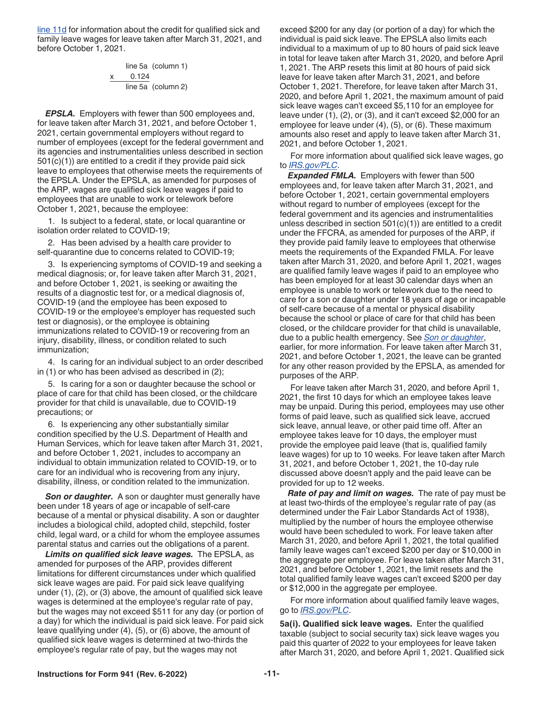<span id="page-10-0"></span>[line 11d](#page-13-0) for information about the credit for qualified sick and family leave wages for leave taken after March 31, 2021, and before October 1, 2021.

> line 5a (column 1) x    0.124 line 5a (column 2)

*EPSLA.* Employers with fewer than 500 employees and, for leave taken after March 31, 2021, and before October 1, 2021, certain governmental employers without regard to number of employees (except for the federal government and its agencies and instrumentalities unless described in section 501(c)(1)) are entitled to a credit if they provide paid sick leave to employees that otherwise meets the requirements of the EPSLA. Under the EPSLA, as amended for purposes of the ARP, wages are qualified sick leave wages if paid to employees that are unable to work or telework before October 1, 2021, because the employee:

1. Is subject to a federal, state, or local quarantine or isolation order related to COVID-19;

2. Has been advised by a health care provider to self-quarantine due to concerns related to COVID-19;

3. Is experiencing symptoms of COVID-19 and seeking a medical diagnosis; or, for leave taken after March 31, 2021, and before October 1, 2021, is seeking or awaiting the results of a diagnostic test for, or a medical diagnosis of, COVID-19 (and the employee has been exposed to COVID-19 or the employee's employer has requested such test or diagnosis), or the employee is obtaining immunizations related to COVID-19 or recovering from an injury, disability, illness, or condition related to such immunization;

4. Is caring for an individual subject to an order described in (1) or who has been advised as described in (2);

5. Is caring for a son or daughter because the school or place of care for that child has been closed, or the childcare provider for that child is unavailable, due to COVID-19 precautions; or

6. Is experiencing any other substantially similar condition specified by the U.S. Department of Health and Human Services, which for leave taken after March 31, 2021, and before October 1, 2021, includes to accompany an individual to obtain immunization related to COVID-19, or to care for an individual who is recovering from any injury, disability, illness, or condition related to the immunization.

*Son or daughter.* A son or daughter must generally have been under 18 years of age or incapable of self-care because of a mental or physical disability. A son or daughter includes a biological child, adopted child, stepchild, foster child, legal ward, or a child for whom the employee assumes parental status and carries out the obligations of a parent.

*Limits on qualified sick leave wages.* The EPSLA, as amended for purposes of the ARP, provides different limitations for different circumstances under which qualified sick leave wages are paid. For paid sick leave qualifying under (1), (2), or (3) above, the amount of qualified sick leave wages is determined at the employee's regular rate of pay, but the wages may not exceed \$511 for any day (or portion of a day) for which the individual is paid sick leave. For paid sick leave qualifying under (4), (5), or (6) above, the amount of qualified sick leave wages is determined at two-thirds the employee's regular rate of pay, but the wages may not

exceed \$200 for any day (or portion of a day) for which the individual is paid sick leave. The EPSLA also limits each individual to a maximum of up to 80 hours of paid sick leave in total for leave taken after March 31, 2020, and before April 1, 2021. The ARP resets this limit at 80 hours of paid sick leave for leave taken after March 31, 2021, and before October 1, 2021. Therefore, for leave taken after March 31, 2020, and before April 1, 2021, the maximum amount of paid sick leave wages can't exceed \$5,110 for an employee for leave under (1), (2), or (3), and it can't exceed \$2,000 for an employee for leave under (4), (5), or (6). These maximum amounts also reset and apply to leave taken after March 31, 2021, and before October 1, 2021.

For more information about qualified sick leave wages, go to *[IRS.gov/PLC](https://www.irs.gov/plc)*.

*Expanded FMLA.* Employers with fewer than 500 employees and, for leave taken after March 31, 2021, and before October 1, 2021, certain governmental employers without regard to number of employees (except for the federal government and its agencies and instrumentalities unless described in section  $501(c)(1)$  are entitled to a credit under the FFCRA, as amended for purposes of the ARP, if they provide paid family leave to employees that otherwise meets the requirements of the Expanded FMLA. For leave taken after March 31, 2020, and before April 1, 2021, wages are qualified family leave wages if paid to an employee who has been employed for at least 30 calendar days when an employee is unable to work or telework due to the need to care for a son or daughter under 18 years of age or incapable of self-care because of a mental or physical disability because the school or place of care for that child has been closed, or the childcare provider for that child is unavailable, due to a public health emergency. See *Son or daughter*, earlier, for more information. For leave taken after March 31, 2021, and before October 1, 2021, the leave can be granted for any other reason provided by the EPSLA, as amended for purposes of the ARP.

For leave taken after March 31, 2020, and before April 1, 2021, the first 10 days for which an employee takes leave may be unpaid. During this period, employees may use other forms of paid leave, such as qualified sick leave, accrued sick leave, annual leave, or other paid time off. After an employee takes leave for 10 days, the employer must provide the employee paid leave (that is, qualified family leave wages) for up to 10 weeks. For leave taken after March 31, 2021, and before October 1, 2021, the 10-day rule discussed above doesn't apply and the paid leave can be provided for up to 12 weeks.

*Rate of pay and limit on wages.* The rate of pay must be at least two-thirds of the employee's regular rate of pay (as determined under the Fair Labor Standards Act of 1938), multiplied by the number of hours the employee otherwise would have been scheduled to work. For leave taken after March 31, 2020, and before April 1, 2021, the total qualified family leave wages can't exceed \$200 per day or \$10,000 in the aggregate per employee. For leave taken after March 31, 2021, and before October 1, 2021, the limit resets and the total qualified family leave wages can't exceed \$200 per day or \$12,000 in the aggregate per employee.

For more information about qualified family leave wages, go to *[IRS.gov/PLC](https://www.irs.gov/plc)*.

**5a(i). Qualified sick leave wages.** Enter the qualified taxable (subject to social security tax) sick leave wages you paid this quarter of 2022 to your employees for leave taken after March 31, 2020, and before April 1, 2021. Qualified sick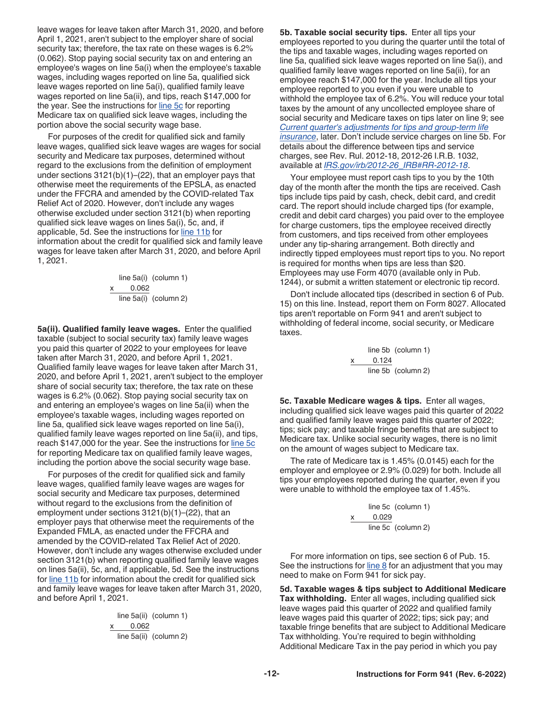<span id="page-11-0"></span>leave wages for leave taken after March 31, 2020, and before April 1, 2021, aren't subject to the employer share of social security tax; therefore, the tax rate on these wages is 6.2% (0.062). Stop paying social security tax on and entering an employee's wages on line 5a(i) when the employee's taxable wages, including wages reported on line 5a, qualified sick leave wages reported on line 5a(i), qualified family leave wages reported on line 5a(ii), and tips, reach \$147,000 for the year. See the instructions for line 5c for reporting Medicare tax on qualified sick leave wages, including the portion above the social security wage base.

For purposes of the credit for qualified sick and family leave wages, qualified sick leave wages are wages for social security and Medicare tax purposes, determined without regard to the exclusions from the definition of employment under sections 3121(b)(1)–(22), that an employer pays that otherwise meet the requirements of the EPSLA, as enacted under the FFCRA and amended by the COVID-related Tax Relief Act of 2020. However, don't include any wages otherwise excluded under section 3121(b) when reporting qualified sick leave wages on lines 5a(i), 5c, and, if applicable, 5d. See the instructions for [line 11b](#page-13-0) for information about the credit for qualified sick and family leave wages for leave taken after March 31, 2020, and before April 1, 2021.

> line 5a(i) (column 1) 0.062 line 5a(i) (column 2)

**5a(ii). Qualified family leave wages.** Enter the qualified taxable (subject to social security tax) family leave wages you paid this quarter of 2022 to your employees for leave taken after March 31, 2020, and before April 1, 2021. Qualified family leave wages for leave taken after March 31, 2020, and before April 1, 2021, aren't subject to the employer share of social security tax; therefore, the tax rate on these wages is 6.2% (0.062). Stop paying social security tax on and entering an employee's wages on line 5a(ii) when the employee's taxable wages, including wages reported on line 5a, qualified sick leave wages reported on line 5a(i), qualified family leave wages reported on line 5a(ii), and tips, reach \$147,000 for the year. See the instructions for line 5c for reporting Medicare tax on qualified family leave wages, including the portion above the social security wage base.

For purposes of the credit for qualified sick and family leave wages, qualified family leave wages are wages for social security and Medicare tax purposes, determined without regard to the exclusions from the definition of employment under sections 3121(b)(1)–(22), that an employer pays that otherwise meet the requirements of the Expanded FMLA, as enacted under the FFCRA and amended by the COVID-related Tax Relief Act of 2020. However, don't include any wages otherwise excluded under section 3121(b) when reporting qualified family leave wages on lines 5a(ii), 5c, and, if applicable, 5d. See the instructions for [line 11b](#page-13-0) for information about the credit for qualified sick and family leave wages for leave taken after March 31, 2020, and before April 1, 2021.

> line 5a(ii) (column 1) x    0.062 line 5a(ii) (column 2)

**5b. Taxable social security tips.** Enter all tips your employees reported to you during the quarter until the total of the tips and taxable wages, including wages reported on line 5a, qualified sick leave wages reported on line 5a(i), and qualified family leave wages reported on line 5a(ii), for an employee reach \$147,000 for the year. Include all tips your employee reported to you even if you were unable to withhold the employee tax of 6.2%. You will reduce your total taxes by the amount of any uncollected employee share of social security and Medicare taxes on tips later on line 9; see *[Current quarter's adjustments for tips and group-term life](#page-12-0) [insurance](#page-12-0)*, later. Don't include service charges on line 5b. For details about the difference between tips and service charges, see Rev. Rul. 2012-18, 2012-26 I.R.B. 1032, available at *[IRS.gov/irb/2012-26\\_IRB#RR-2012-18](https://www.irs.gov/irb/2012-26_IRB#RR-2012-18)*.

Your employee must report cash tips to you by the 10th day of the month after the month the tips are received. Cash tips include tips paid by cash, check, debit card, and credit card. The report should include charged tips (for example, credit and debit card charges) you paid over to the employee for charge customers, tips the employee received directly from customers, and tips received from other employees under any tip-sharing arrangement. Both directly and indirectly tipped employees must report tips to you. No report is required for months when tips are less than \$20. Employees may use Form 4070 (available only in Pub. 1244), or submit a written statement or electronic tip record.

Don't include allocated tips (described in section 6 of Pub. 15) on this line. Instead, report them on Form 8027. Allocated tips aren't reportable on Form 941 and aren't subject to withholding of federal income, social security, or Medicare taxes.

> line 5b (column 1) 0.124 line 5b (column 2)

**5c. Taxable Medicare wages & tips.** Enter all wages, including qualified sick leave wages paid this quarter of 2022 and qualified family leave wages paid this quarter of 2022; tips; sick pay; and taxable fringe benefits that are subject to Medicare tax. Unlike social security wages, there is no limit on the amount of wages subject to Medicare tax.

The rate of Medicare tax is 1.45% (0.0145) each for the employer and employee or 2.9% (0.029) for both. Include all tips your employees reported during the quarter, even if you were unable to withhold the employee tax of 1.45%.

> line 5c (column 1) x     0.029 line 5c (column 2)

For more information on tips, see section 6 of Pub. 15. See the instructions for  $line 8$  for an adjustment that you may need to make on Form 941 for sick pay.

**5d. Taxable wages & tips subject to Additional Medicare Tax withholding.** Enter all wages, including qualified sick leave wages paid this quarter of 2022 and qualified family leave wages paid this quarter of 2022; tips; sick pay; and taxable fringe benefits that are subject to Additional Medicare Tax withholding. You're required to begin withholding Additional Medicare Tax in the pay period in which you pay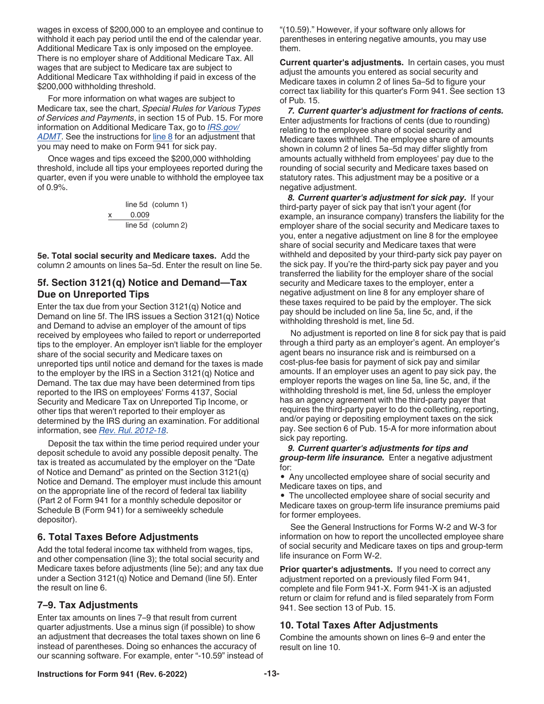<span id="page-12-0"></span>wages in excess of \$200,000 to an employee and continue to withhold it each pay period until the end of the calendar year. Additional Medicare Tax is only imposed on the employee. There is no employer share of Additional Medicare Tax. All wages that are subject to Medicare tax are subject to Additional Medicare Tax withholding if paid in excess of the \$200,000 withholding threshold.

For more information on what wages are subject to Medicare tax, see the chart, *Special Rules for Various Types of Services and Payments*, in section 15 of Pub. 15. For more information on Additional Medicare Tax, go to *[IRS.gov/](https://www.irs.gov/admt)* [ADMT](https://www.irs.gov/admt). See the instructions for line 8 for an adjustment that you may need to make on Form 941 for sick pay.

Once wages and tips exceed the \$200,000 withholding threshold, include all tips your employees reported during the quarter, even if you were unable to withhold the employee tax of 0.9%.

> line 5d (column 1) x     0.009 line 5d (column 2)

**5e. Total social security and Medicare taxes.** Add the column 2 amounts on lines 5a–5d. Enter the result on line 5e.

### **5f. Section 3121(q) Notice and Demand—Tax Due on Unreported Tips**

Enter the tax due from your Section 3121(q) Notice and Demand on line 5f. The IRS issues a Section 3121(q) Notice and Demand to advise an employer of the amount of tips received by employees who failed to report or underreported tips to the employer. An employer isn't liable for the employer share of the social security and Medicare taxes on unreported tips until notice and demand for the taxes is made to the employer by the IRS in a Section 3121(q) Notice and Demand. The tax due may have been determined from tips reported to the IRS on employees' Forms 4137, Social Security and Medicare Tax on Unreported Tip Income, or other tips that weren't reported to their employer as determined by the IRS during an examination. For additional information, see *[Rev. Rul. 2012-18](https://www.irs.gov/irb/2012-26_IRB#RR-2012-18)*.

Deposit the tax within the time period required under your deposit schedule to avoid any possible deposit penalty. The tax is treated as accumulated by the employer on the "Date of Notice and Demand" as printed on the Section 3121(q) Notice and Demand. The employer must include this amount on the appropriate line of the record of federal tax liability (Part 2 of Form 941 for a monthly schedule depositor or Schedule B (Form 941) for a semiweekly schedule depositor).

# **6. Total Taxes Before Adjustments**

Add the total federal income tax withheld from wages, tips, and other compensation (line 3); the total social security and Medicare taxes before adjustments (line 5e); and any tax due under a Section 3121(q) Notice and Demand (line 5f). Enter the result on line 6.

# **7–9. Tax Adjustments**

Enter tax amounts on lines 7–9 that result from current quarter adjustments. Use a minus sign (if possible) to show an adjustment that decreases the total taxes shown on line 6 instead of parentheses. Doing so enhances the accuracy of our scanning software. For example, enter "-10.59" instead of "(10.59)." However, if your software only allows for parentheses in entering negative amounts, you may use them.

**Current quarter's adjustments.** In certain cases, you must adjust the amounts you entered as social security and Medicare taxes in column 2 of lines 5a–5d to figure your correct tax liability for this quarter's Form 941. See section 13 of Pub. 15.

*7. Current quarter's adjustment for fractions of cents.*  Enter adjustments for fractions of cents (due to rounding) relating to the employee share of social security and Medicare taxes withheld. The employee share of amounts shown in column 2 of lines 5a–5d may differ slightly from amounts actually withheld from employees' pay due to the rounding of social security and Medicare taxes based on statutory rates. This adjustment may be a positive or a negative adjustment.

*8. Current quarter's adjustment for sick pay.* If your third-party payer of sick pay that isn't your agent (for example, an insurance company) transfers the liability for the employer share of the social security and Medicare taxes to you, enter a negative adjustment on line 8 for the employee share of social security and Medicare taxes that were withheld and deposited by your third-party sick pay payer on the sick pay. If you're the third-party sick pay payer and you transferred the liability for the employer share of the social security and Medicare taxes to the employer, enter a negative adjustment on line 8 for any employer share of these taxes required to be paid by the employer. The sick pay should be included on line 5a, line 5c, and, if the withholding threshold is met, line 5d.

No adjustment is reported on line 8 for sick pay that is paid through a third party as an employer's agent. An employer's agent bears no insurance risk and is reimbursed on a cost-plus-fee basis for payment of sick pay and similar amounts. If an employer uses an agent to pay sick pay, the employer reports the wages on line 5a, line 5c, and, if the withholding threshold is met, line 5d, unless the employer has an agency agreement with the third-party payer that requires the third-party payer to do the collecting, reporting, and/or paying or depositing employment taxes on the sick pay. See section 6 of Pub. 15-A for more information about sick pay reporting.

*9. Current quarter's adjustments for tips and group-term life insurance.* Enter a negative adjustment for:

• Any uncollected employee share of social security and Medicare taxes on tips, and

• The uncollected employee share of social security and Medicare taxes on group-term life insurance premiums paid for former employees.

See the General Instructions for Forms W-2 and W-3 for information on how to report the uncollected employee share of social security and Medicare taxes on tips and group-term life insurance on Form W-2.

**Prior quarter's adjustments.** If you need to correct any adjustment reported on a previously filed Form 941, complete and file Form 941-X. Form 941-X is an adjusted return or claim for refund and is filed separately from Form 941. See section 13 of Pub. 15.

# **10. Total Taxes After Adjustments**

Combine the amounts shown on lines 6–9 and enter the result on line 10.

#### **Instructions for Form 941 (Rev. 6-2022) -13-**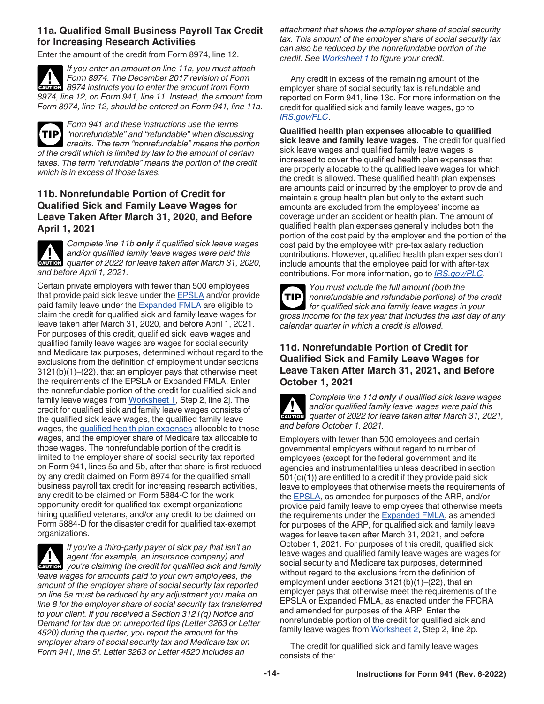### <span id="page-13-0"></span>**11a. Qualified Small Business Payroll Tax Credit for Increasing Research Activities**

Enter the amount of the credit from Form 8974, line 12.

*If you enter an amount on line 11a, you must attach Form 8974. The December 2017 revision of Form 8974 instructs you to enter the amount from Form 8974, line 12, on Form 941, line 11. Instead, the amount from Form 8974, line 12, should be entered on Form 941, line 11a.* **CAUTION !**

*Form 941 and these instructions use the terms "nonrefundable" and "refundable" when discussing credits. The term "nonrefundable" means the portion of the credit which is limited by law to the amount of certain taxes. The term "refundable" means the portion of the credit which is in excess of those taxes.* **TIP**

# **11b. Nonrefundable Portion of Credit for Qualified Sick and Family Leave Wages for Leave Taken After March 31, 2020, and Before April 1, 2021**

*Complete line 11b only if qualified sick leave wages and/or qualified family leave wages were paid this*  and/or qualified family leave wages were paid this quarter of 2022 for leave taken after March 31, 2020, *and before April 1, 2021.*

Certain private employers with fewer than 500 employees that provide paid sick leave under the [EPSLA](#page-10-0) and/or provide paid family leave under the **Expanded FMLA** are eligible to claim the credit for qualified sick and family leave wages for leave taken after March 31, 2020, and before April 1, 2021. For purposes of this credit, qualified sick leave wages and qualified family leave wages are wages for social security and Medicare tax purposes, determined without regard to the exclusions from the definition of employment under sections 3121(b)(1)–(22), that an employer pays that otherwise meet the requirements of the EPSLA or Expanded FMLA. Enter the nonrefundable portion of the credit for qualified sick and family leave wages from [Worksheet 1,](#page-20-0) Step 2, line 2j. The credit for qualified sick and family leave wages consists of the qualified sick leave wages, the qualified family leave wages, the qualified health plan expenses allocable to those wages, and the employer share of Medicare tax allocable to those wages. The nonrefundable portion of the credit is limited to the employer share of social security tax reported on Form 941, lines 5a and 5b, after that share is first reduced by any credit claimed on Form 8974 for the qualified small business payroll tax credit for increasing research activities, any credit to be claimed on Form 5884-C for the work opportunity credit for qualified tax-exempt organizations hiring qualified veterans, and/or any credit to be claimed on Form 5884-D for the disaster credit for qualified tax-exempt organizations.

*If you're a third-party payer of sick pay that isn't an agent (for example, an insurance company) and*  **z** *you're claiming the credit for qualified sick and family*  $\frac{1}{2}$  *<i>caution*  $\frac{1}{2}$  *you're claiming the credit for qualified sick and family leave wages for amounts paid to your own employees, the amount of the employer share of social security tax reported on line 5a must be reduced by any adjustment you make on line 8 for the employer share of social security tax transferred to your client. If you received a Section 3121(q) Notice and Demand for tax due on unreported tips (Letter 3263 or Letter 4520) during the quarter, you report the amount for the employer share of social security tax and Medicare tax on Form 941, line 5f. Letter 3263 or Letter 4520 includes an* 

*attachment that shows the employer share of social security tax. This amount of the employer share of social security tax can also be reduced by the nonrefundable portion of the credit. See [Worksheet 1](#page-20-0) to figure your credit.*

Any credit in excess of the remaining amount of the employer share of social security tax is refundable and reported on Form 941, line 13c. For more information on the credit for qualified sick and family leave wages, go to *[IRS.gov/PLC](https://www.irs.gov/plc)*.

**Qualified health plan expenses allocable to qualified sick leave and family leave wages.** The credit for qualified sick leave wages and qualified family leave wages is increased to cover the qualified health plan expenses that are properly allocable to the qualified leave wages for which the credit is allowed. These qualified health plan expenses are amounts paid or incurred by the employer to provide and maintain a group health plan but only to the extent such amounts are excluded from the employees' income as coverage under an accident or health plan. The amount of qualified health plan expenses generally includes both the portion of the cost paid by the employer and the portion of the cost paid by the employee with pre-tax salary reduction contributions. However, qualified health plan expenses don't include amounts that the employee paid for with after-tax contributions. For more information, go to *[IRS.gov/PLC](https://www.irs.gov/plc)*.

*You must include the full amount (both the nonrefundable and refundable portions) of the credit for qualified sick and family leave wages in your gross income for the tax year that includes the last day of any calendar quarter in which a credit is allowed.* **TIP**

# **11d. Nonrefundable Portion of Credit for Qualified Sick and Family Leave Wages for Leave Taken After March 31, 2021, and Before October 1, 2021**

*Complete line 11d only if qualified sick leave wages and/or qualified family leave wages were paid this quarter of 2022 for leave taken after March 31, 2021, and before October 1, 2021.* **ALL**<br>CAUTION

Employers with fewer than 500 employees and certain governmental employers without regard to number of employees (except for the federal government and its agencies and instrumentalities unless described in section 501(c)(1)) are entitled to a credit if they provide paid sick leave to employees that otherwise meets the requirements of the [EPSLA,](#page-10-0) as amended for purposes of the ARP, and/or provide paid family leave to employees that otherwise meets the requirements under the [Expanded FMLA](#page-10-0), as amended for purposes of the ARP, for qualified sick and family leave wages for leave taken after March 31, 2021, and before October 1, 2021. For purposes of this credit, qualified sick leave wages and qualified family leave wages are wages for social security and Medicare tax purposes, determined without regard to the exclusions from the definition of employment under sections 3121(b)(1)–(22), that an employer pays that otherwise meet the requirements of the EPSLA or Expanded FMLA, as enacted under the FFCRA and amended for purposes of the ARP. Enter the nonrefundable portion of the credit for qualified sick and family leave wages from [Worksheet 2,](#page-21-0) Step 2, line 2p.

The credit for qualified sick and family leave wages consists of the: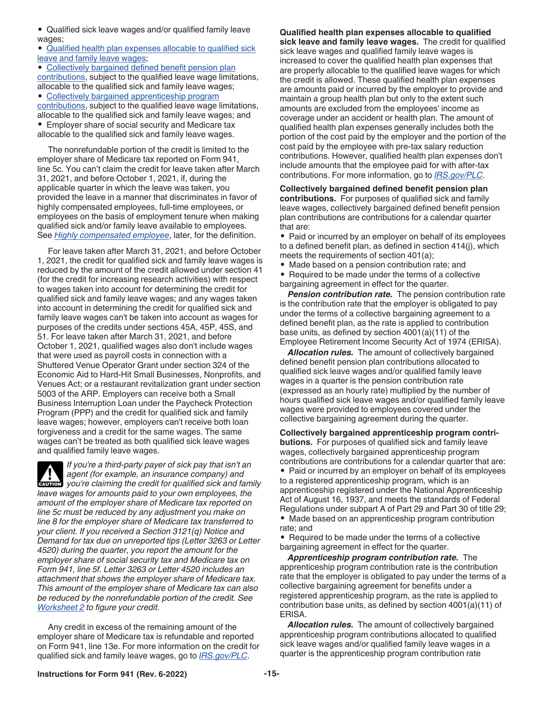<span id="page-14-0"></span>• Qualified sick leave wages and/or qualified family leave wages;

• Qualified health plan expenses allocable to qualified sick leave and family leave wages;

• Collectively bargained defined benefit pension plan contributions, subject to the qualified leave wage limitations, allocable to the qualified sick and family leave wages;

• Collectively bargained apprenticeship program contributions, subject to the qualified leave wage limitations, allocable to the qualified sick and family leave wages; and • Employer share of social security and Medicare tax allocable to the qualified sick and family leave wages.

The nonrefundable portion of the credit is limited to the employer share of Medicare tax reported on Form 941, line 5c. You can't claim the credit for leave taken after March 31, 2021, and before October 1, 2021, if, during the applicable quarter in which the leave was taken, you provided the leave in a manner that discriminates in favor of highly compensated employees, full-time employees, or employees on the basis of employment tenure when making qualified sick and/or family leave available to employees. See *[Highly compensated employee](#page-15-0)*, later, for the definition.

For leave taken after March 31, 2021, and before October 1, 2021, the credit for qualified sick and family leave wages is reduced by the amount of the credit allowed under section 41 (for the credit for increasing research activities) with respect to wages taken into account for determining the credit for qualified sick and family leave wages; and any wages taken into account in determining the credit for qualified sick and family leave wages can't be taken into account as wages for purposes of the credits under sections 45A, 45P, 45S, and 51. For leave taken after March 31, 2021, and before October 1, 2021, qualified wages also don't include wages that were used as payroll costs in connection with a Shuttered Venue Operator Grant under section 324 of the Economic Aid to Hard-Hit Small Businesses, Nonprofits, and Venues Act; or a restaurant revitalization grant under section 5003 of the ARP. Employers can receive both a Small Business Interruption Loan under the Paycheck Protection Program (PPP) and the credit for qualified sick and family leave wages; however, employers can't receive both loan forgiveness and a credit for the same wages. The same wages can't be treated as both qualified sick leave wages and qualified family leave wages.

*If you're a third-party payer of sick pay that isn't an agent (for example, an insurance company) and*  **you're claiming the credit for qualified sick and family vou're claiming the credit for qualified sick and family** *leave wages for amounts paid to your own employees, the amount of the employer share of Medicare tax reported on line 5c must be reduced by any adjustment you make on line 8 for the employer share of Medicare tax transferred to your client. If you received a Section 3121(q) Notice and Demand for tax due on unreported tips (Letter 3263 or Letter 4520) during the quarter, you report the amount for the employer share of social security tax and Medicare tax on Form 941, line 5f. Letter 3263 or Letter 4520 includes an attachment that shows the employer share of Medicare tax. This amount of the employer share of Medicare tax can also be reduced by the nonrefundable portion of the credit. See [Worksheet 2](#page-21-0) to figure your credit.*

Any credit in excess of the remaining amount of the employer share of Medicare tax is refundable and reported on Form 941, line 13e. For more information on the credit for qualified sick and family leave wages, go to *[IRS.gov/PLC](https://www.irs.gov/PLC)*.

**Qualified health plan expenses allocable to qualified sick leave and family leave wages.** The credit for qualified sick leave wages and qualified family leave wages is increased to cover the qualified health plan expenses that are properly allocable to the qualified leave wages for which the credit is allowed. These qualified health plan expenses are amounts paid or incurred by the employer to provide and maintain a group health plan but only to the extent such amounts are excluded from the employees' income as coverage under an accident or health plan. The amount of qualified health plan expenses generally includes both the portion of the cost paid by the employer and the portion of the cost paid by the employee with pre-tax salary reduction contributions. However, qualified health plan expenses don't include amounts that the employee paid for with after-tax contributions. For more information, go to *[IRS.gov/PLC](https://www.irs.gov/PLC)*.

**Collectively bargained defined benefit pension plan contributions.** For purposes of qualified sick and family leave wages, collectively bargained defined benefit pension plan contributions are contributions for a calendar quarter that are:

• Paid or incurred by an employer on behalf of its employees to a defined benefit plan, as defined in section 414(j), which meets the requirements of section 401(a);

• Made based on a pension contribution rate; and

• Required to be made under the terms of a collective bargaining agreement in effect for the quarter.

**Pension contribution rate.** The pension contribution rate is the contribution rate that the employer is obligated to pay under the terms of a collective bargaining agreement to a defined benefit plan, as the rate is applied to contribution base units, as defined by section 4001(a)(11) of the Employee Retirement Income Security Act of 1974 (ERISA).

*Allocation rules.* The amount of collectively bargained defined benefit pension plan contributions allocated to qualified sick leave wages and/or qualified family leave wages in a quarter is the pension contribution rate (expressed as an hourly rate) multiplied by the number of hours qualified sick leave wages and/or qualified family leave wages were provided to employees covered under the collective bargaining agreement during the quarter.

**Collectively bargained apprenticeship program contributions.** For purposes of qualified sick and family leave wages, collectively bargained apprenticeship program contributions are contributions for a calendar quarter that are: • Paid or incurred by an employer on behalf of its employees to a registered apprenticeship program, which is an apprenticeship registered under the National Apprenticeship Act of August 16, 1937, and meets the standards of Federal Regulations under subpart A of Part 29 and Part 30 of title 29; • Made based on an apprenticeship program contribution rate; and

• Required to be made under the terms of a collective bargaining agreement in effect for the quarter.

*Apprenticeship program contribution rate.* The apprenticeship program contribution rate is the contribution rate that the employer is obligated to pay under the terms of a collective bargaining agreement for benefits under a registered apprenticeship program, as the rate is applied to contribution base units, as defined by section 4001(a)(11) of ERISA.

*Allocation rules.* The amount of collectively bargained apprenticeship program contributions allocated to qualified sick leave wages and/or qualified family leave wages in a quarter is the apprenticeship program contribution rate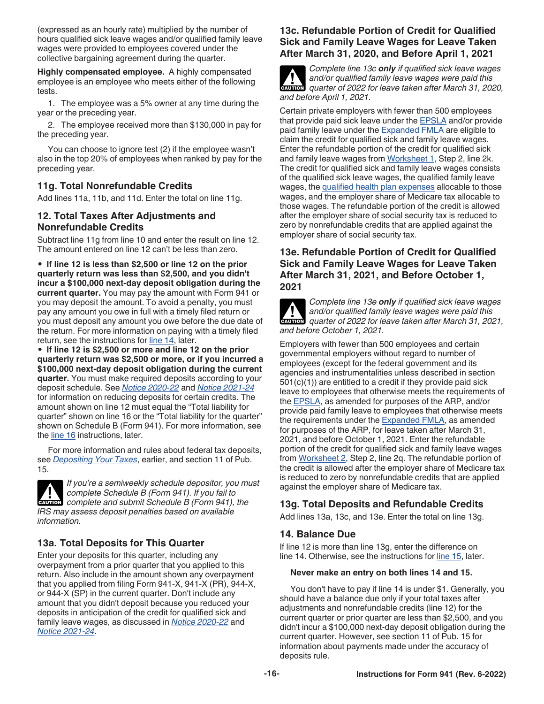<span id="page-15-0"></span>(expressed as an hourly rate) multiplied by the number of hours qualified sick leave wages and/or qualified family leave wages were provided to employees covered under the collective bargaining agreement during the quarter.

**Highly compensated employee.** A highly compensated employee is an employee who meets either of the following tests.

1. The employee was a 5% owner at any time during the year or the preceding year.

2. The employee received more than \$130,000 in pay for the preceding year.

You can choose to ignore test (2) if the employee wasn't also in the top 20% of employees when ranked by pay for the preceding year.

# **11g. Total Nonrefundable Credits**

Add lines 11a, 11b, and 11d. Enter the total on line 11g.

### **12. Total Taxes After Adjustments and Nonrefundable Credits**

Subtract line 11g from line 10 and enter the result on line 12. The amount entered on line 12 can't be less than zero.

• **If line 12 is less than \$2,500 or line 12 on the prior quarterly return was less than \$2,500, and you didn't incur a \$100,000 next-day deposit obligation during the current quarter.** You may pay the amount with Form 941 or you may deposit the amount. To avoid a penalty, you must pay any amount you owe in full with a timely filed return or you must deposit any amount you owe before the due date of the return. For more information on paying with a timely filed return, see the instructions for line 14, later.

• **If line 12 is \$2,500 or more and line 12 on the prior quarterly return was \$2,500 or more, or if you incurred a \$100,000 next-day deposit obligation during the current quarter.** You must make required deposits according to your deposit schedule. See *[Notice 2020-22](https://www.irs.gov/irb/2020-17_IRB#NOT-2020-22)* and *[Notice 2021-24](https://www.irs.gov/irb/2021-18_IRB#NOT-2021-24)*  for information on reducing deposits for certain credits. The amount shown on line 12 must equal the "Total liability for quarter" shown on line 16 or the "Total liability for the quarter" shown on Schedule B (Form 941). For more information, see the [line 16](#page-16-0) instructions, later.

For more information and rules about federal tax deposits, see *[Depositing Your Taxes](#page-7-0)*, earlier, and section 11 of Pub. 15.



# **13a. Total Deposits for This Quarter**

Enter your deposits for this quarter, including any overpayment from a prior quarter that you applied to this return. Also include in the amount shown any overpayment that you applied from filing Form 941-X, 941-X (PR), 944-X, or 944-X (SP) in the current quarter. Don't include any amount that you didn't deposit because you reduced your deposits in anticipation of the credit for qualified sick and family leave wages, as discussed in *[Notice 2020-22](https://www.irs.gov/irb/2020-17_IRB#NOT-2020-22)* and *[Notice 2021-24](https://www.irs.gov/irb/2021-18_IRB#NOT-2021-24)*.

# **13c. Refundable Portion of Credit for Qualified Sick and Family Leave Wages for Leave Taken After March 31, 2020, and Before April 1, 2021**

**ALL**<br>CAUTION

*Complete line 13c only if qualified sick leave wages and/or qualified family leave wages were paid this quarter of 2022 for leave taken after March 31, 2020, and before April 1, 2021.*

Certain private employers with fewer than 500 employees that provide paid sick leave under the [EPSLA](#page-10-0) and/or provide paid family leave under the [Expanded FMLA](#page-10-0) are eligible to claim the credit for qualified sick and family leave wages. Enter the refundable portion of the credit for qualified sick and family leave wages from [Worksheet 1,](#page-20-0) Step 2, line 2k. The credit for qualified sick and family leave wages consists of the qualified sick leave wages, the qualified family leave wages, the [qualified health plan expenses](#page-13-0) allocable to those wages, and the employer share of Medicare tax allocable to those wages. The refundable portion of the credit is allowed after the employer share of social security tax is reduced to zero by nonrefundable credits that are applied against the employer share of social security tax.

### **13e. Refundable Portion of Credit for Qualified Sick and Family Leave Wages for Leave Taken After March 31, 2021, and Before October 1, 2021**



*Complete line 13e only if qualified sick leave wages and/or qualified family leave wages were paid this*  and/or qualified family leave wages were paid this quarter of 2022 for leave taken after March 31, 2021, *and before October 1, 2021.*

Employers with fewer than 500 employees and certain governmental employers without regard to number of employees (except for the federal government and its agencies and instrumentalities unless described in section 501(c)(1)) are entitled to a credit if they provide paid sick leave to employees that otherwise meets the requirements of the [EPSLA,](#page-10-0) as amended for purposes of the ARP, and/or provide paid family leave to employees that otherwise meets the requirements under the **[Expanded FMLA](#page-10-0)**, as amended for purposes of the ARP, for leave taken after March 31, 2021, and before October 1, 2021. Enter the refundable portion of the credit for qualified sick and family leave wages from [Worksheet 2](#page-21-0), Step 2, line 2q. The refundable portion of the credit is allowed after the employer share of Medicare tax is reduced to zero by nonrefundable credits that are applied against the employer share of Medicare tax.

# **13g. Total Deposits and Refundable Credits**

Add lines 13a, 13c, and 13e. Enter the total on line 13g.

# **14. Balance Due**

If line 12 is more than line 13g, enter the difference on line 14. Otherwise, see the instructions for [line 15](#page-16-0), later.

#### **Never make an entry on both lines 14 and 15.**

You don't have to pay if line 14 is under \$1. Generally, you should have a balance due only if your total taxes after adjustments and nonrefundable credits (line 12) for the current quarter or prior quarter are less than \$2,500, and you didn't incur a \$100,000 next-day deposit obligation during the current quarter. However, see section 11 of Pub. 15 for information about payments made under the accuracy of deposits rule.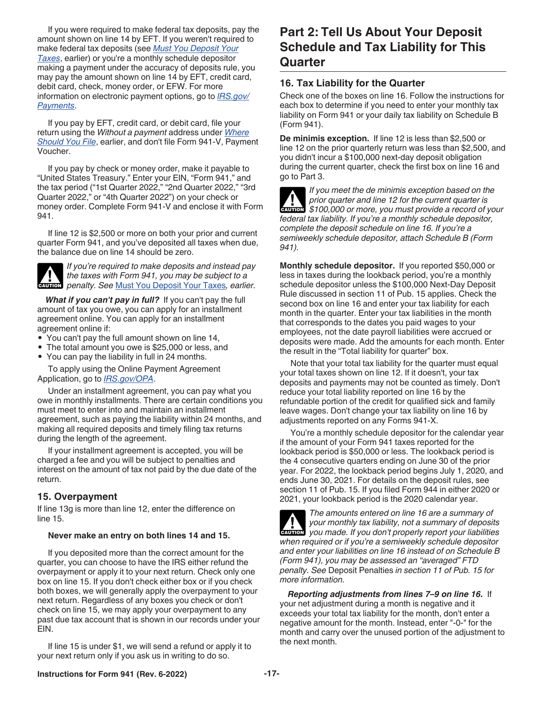<span id="page-16-0"></span>If you were required to make federal tax deposits, pay the amount shown on line 14 by EFT. If you weren't required to make federal tax deposits (see *[Must You Deposit Your](#page-7-0)  [Taxes](#page-7-0)*, earlier) or you're a monthly schedule depositor making a payment under the accuracy of deposits rule, you may pay the amount shown on line 14 by EFT, credit card, debit card, check, money order, or EFW. For more information on electronic payment options, go to *[IRS.gov/](https://www.irs.gov/payments) [Payments](https://www.irs.gov/payments)*.

If you pay by EFT, credit card, or debit card, file your return using the *Without a payment* address under *[Where](#page-7-0)  [Should You File](#page-7-0)*, earlier, and don't file Form 941-V, Payment Voucher.

If you pay by check or money order, make it payable to "United States Treasury." Enter your EIN, "Form 941," and the tax period ("1st Quarter 2022," "2nd Quarter 2022," "3rd Quarter 2022," or "4th Quarter 2022") on your check or money order. Complete Form 941-V and enclose it with Form 941.

If line 12 is \$2,500 or more on both your prior and current quarter Form 941, and you've deposited all taxes when due, the balance due on line 14 should be zero.



*If you're required to make deposits and instead pay the taxes with Form 941, you may be subject to a*  **h** *penalty. See [Must You Deposit Your Taxes](#page-7-0), earlier.*<br> **CAUTION** 

*What if you can't pay in full?* If you can't pay the full amount of tax you owe, you can apply for an installment agreement online. You can apply for an installment agreement online if:

- You can't pay the full amount shown on line 14,
- The total amount you owe is \$25,000 or less, and
- You can pay the liability in full in 24 months.

To apply using the Online Payment Agreement Application, go to *[IRS.gov/OPA](https://www.irs.gov/opa)*.

Under an installment agreement, you can pay what you owe in monthly installments. There are certain conditions you must meet to enter into and maintain an installment agreement, such as paying the liability within 24 months, and making all required deposits and timely filing tax returns during the length of the agreement.

If your installment agreement is accepted, you will be charged a fee and you will be subject to penalties and interest on the amount of tax not paid by the due date of the return.

# **15. Overpayment**

If line 13g is more than line 12, enter the difference on line 15.

#### **Never make an entry on both lines 14 and 15.**

If you deposited more than the correct amount for the quarter, you can choose to have the IRS either refund the overpayment or apply it to your next return. Check only one box on line 15. If you don't check either box or if you check both boxes, we will generally apply the overpayment to your next return. Regardless of any boxes you check or don't check on line 15, we may apply your overpayment to any past due tax account that is shown in our records under your EIN.

If line 15 is under \$1, we will send a refund or apply it to your next return only if you ask us in writing to do so.

# **Part 2: Tell Us About Your Deposit Schedule and Tax Liability for This Quarter**

### **16. Tax Liability for the Quarter**

Check one of the boxes on line 16. Follow the instructions for each box to determine if you need to enter your monthly tax liability on Form 941 or your daily tax liability on Schedule B (Form 941).

**De minimis exception.** If line 12 is less than \$2,500 or line 12 on the prior quarterly return was less than \$2,500, and you didn't incur a \$100,000 next-day deposit obligation during the current quarter, check the first box on line 16 and go to Part 3.

*If you meet the de minimis exception based on the prior quarter and line 12 for the current quarter is*  prior quarter and line 12 for the current quarter is<br>
\$100,000 or more, you must provide a record of your *federal tax liability. If you're a monthly schedule depositor, complete the deposit schedule on line 16. If you're a semiweekly schedule depositor, attach Schedule B (Form 941).*

**Monthly schedule depositor.** If you reported \$50,000 or less in taxes during the lookback period, you're a monthly schedule depositor unless the \$100,000 Next-Day Deposit Rule discussed in section 11 of Pub. 15 applies. Check the second box on line 16 and enter your tax liability for each month in the quarter. Enter your tax liabilities in the month that corresponds to the dates you paid wages to your employees, not the date payroll liabilities were accrued or deposits were made. Add the amounts for each month. Enter the result in the "Total liability for quarter" box.

Note that your total tax liability for the quarter must equal your total taxes shown on line 12. If it doesn't, your tax deposits and payments may not be counted as timely. Don't reduce your total liability reported on line 16 by the refundable portion of the credit for qualified sick and family leave wages. Don't change your tax liability on line 16 by adjustments reported on any Forms 941-X.

You're a monthly schedule depositor for the calendar year if the amount of your Form 941 taxes reported for the lookback period is \$50,000 or less. The lookback period is the 4 consecutive quarters ending on June 30 of the prior year. For 2022, the lookback period begins July 1, 2020, and ends June 30, 2021. For details on the deposit rules, see section 11 of Pub. 15. If you filed Form 944 in either 2020 or 2021, your lookback period is the 2020 calendar year.

*The amounts entered on line 16 are a summary of your monthly tax liability, not a summary of deposits*  **your monthly tax liability, not a summary of deposits you made. If you don't properly report your liabilities** *when required or if you're a semiweekly schedule depositor and enter your liabilities on line 16 instead of on Schedule B (Form 941), you may be assessed an "averaged" FTD penalty. See* Deposit Penalties *in section 11 of Pub. 15 for more information.*

*Reporting adjustments from lines 7–9 on line 16.* If your net adjustment during a month is negative and it exceeds your total tax liability for the month, don't enter a negative amount for the month. Instead, enter "-0-" for the month and carry over the unused portion of the adjustment to the next month.

#### **Instructions for Form 941 (Rev. 6-2022) -17-**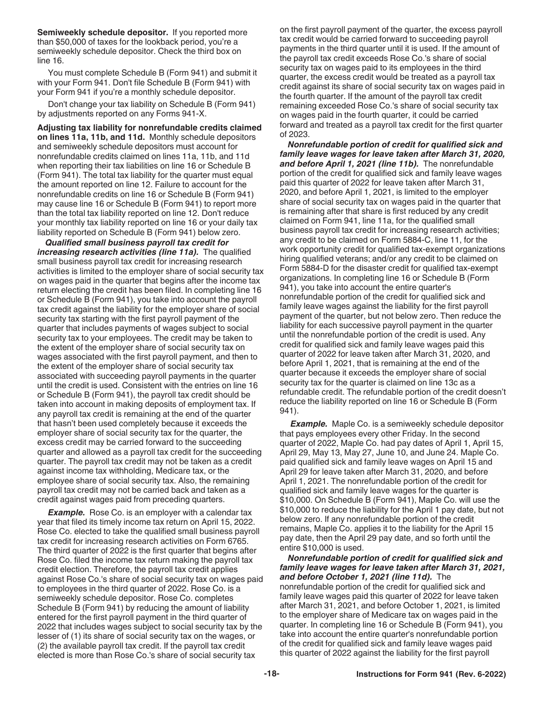<span id="page-17-0"></span>**Semiweekly schedule depositor.** If you reported more than \$50,000 of taxes for the lookback period, you're a semiweekly schedule depositor. Check the third box on line 16.

You must complete Schedule B (Form 941) and submit it with your Form 941. Don't file Schedule B (Form 941) with your Form 941 if you're a monthly schedule depositor.

Don't change your tax liability on Schedule B (Form 941) by adjustments reported on any Forms 941-X.

**Adjusting tax liability for nonrefundable credits claimed on lines 11a, 11b, and 11d.** Monthly schedule depositors and semiweekly schedule depositors must account for nonrefundable credits claimed on lines 11a, 11b, and 11d when reporting their tax liabilities on line 16 or Schedule B (Form 941). The total tax liability for the quarter must equal the amount reported on line 12. Failure to account for the nonrefundable credits on line 16 or Schedule B (Form 941) may cause line 16 or Schedule B (Form 941) to report more than the total tax liability reported on line 12. Don't reduce your monthly tax liability reported on line 16 or your daily tax liability reported on Schedule B (Form 941) below zero.

*Qualified small business payroll tax credit for increasing research activities (line 11a).* The qualified small business payroll tax credit for increasing research activities is limited to the employer share of social security tax on wages paid in the quarter that begins after the income tax return electing the credit has been filed. In completing line 16 or Schedule B (Form 941), you take into account the payroll tax credit against the liability for the employer share of social security tax starting with the first payroll payment of the quarter that includes payments of wages subject to social security tax to your employees. The credit may be taken to the extent of the employer share of social security tax on wages associated with the first payroll payment, and then to the extent of the employer share of social security tax associated with succeeding payroll payments in the quarter until the credit is used. Consistent with the entries on line 16 or Schedule B (Form 941), the payroll tax credit should be taken into account in making deposits of employment tax. If any payroll tax credit is remaining at the end of the quarter that hasn't been used completely because it exceeds the employer share of social security tax for the quarter, the excess credit may be carried forward to the succeeding quarter and allowed as a payroll tax credit for the succeeding quarter. The payroll tax credit may not be taken as a credit against income tax withholding, Medicare tax, or the employee share of social security tax. Also, the remaining payroll tax credit may not be carried back and taken as a credit against wages paid from preceding quarters.

**Example.** Rose Co. is an employer with a calendar tax year that filed its timely income tax return on April 15, 2022. Rose Co. elected to take the qualified small business payroll tax credit for increasing research activities on Form 6765. The third quarter of 2022 is the first quarter that begins after Rose Co. filed the income tax return making the payroll tax credit election. Therefore, the payroll tax credit applies against Rose Co.'s share of social security tax on wages paid to employees in the third quarter of 2022. Rose Co. is a semiweekly schedule depositor. Rose Co. completes Schedule B (Form 941) by reducing the amount of liability entered for the first payroll payment in the third quarter of 2022 that includes wages subject to social security tax by the lesser of (1) its share of social security tax on the wages, or (2) the available payroll tax credit. If the payroll tax credit elected is more than Rose Co.'s share of social security tax

on the first payroll payment of the quarter, the excess payroll tax credit would be carried forward to succeeding payroll payments in the third quarter until it is used. If the amount of the payroll tax credit exceeds Rose Co.'s share of social security tax on wages paid to its employees in the third quarter, the excess credit would be treated as a payroll tax credit against its share of social security tax on wages paid in the fourth quarter. If the amount of the payroll tax credit remaining exceeded Rose Co.'s share of social security tax on wages paid in the fourth quarter, it could be carried forward and treated as a payroll tax credit for the first quarter of 2023.

*Nonrefundable portion of credit for qualified sick and family leave wages for leave taken after March 31, 2020, and before April 1, 2021 (line 11b).* The nonrefundable portion of the credit for qualified sick and family leave wages paid this quarter of 2022 for leave taken after March 31, 2020, and before April 1, 2021, is limited to the employer share of social security tax on wages paid in the quarter that is remaining after that share is first reduced by any credit claimed on Form 941, line 11a, for the qualified small business payroll tax credit for increasing research activities; any credit to be claimed on Form 5884-C, line 11, for the work opportunity credit for qualified tax-exempt organizations hiring qualified veterans; and/or any credit to be claimed on Form 5884-D for the disaster credit for qualified tax-exempt organizations. In completing line 16 or Schedule B (Form 941), you take into account the entire quarter's nonrefundable portion of the credit for qualified sick and family leave wages against the liability for the first payroll payment of the quarter, but not below zero. Then reduce the liability for each successive payroll payment in the quarter until the nonrefundable portion of the credit is used. Any credit for qualified sick and family leave wages paid this quarter of 2022 for leave taken after March 31, 2020, and before April 1, 2021, that is remaining at the end of the quarter because it exceeds the employer share of social security tax for the quarter is claimed on line 13c as a refundable credit. The refundable portion of the credit doesn't reduce the liability reported on line 16 or Schedule B (Form 941).

**Example.** Maple Co. is a semiweekly schedule depositor that pays employees every other Friday. In the second quarter of 2022, Maple Co. had pay dates of April 1, April 15, April 29, May 13, May 27, June 10, and June 24. Maple Co. paid qualified sick and family leave wages on April 15 and April 29 for leave taken after March 31, 2020, and before April 1, 2021. The nonrefundable portion of the credit for qualified sick and family leave wages for the quarter is \$10,000. On Schedule B (Form 941), Maple Co. will use the \$10,000 to reduce the liability for the April 1 pay date, but not below zero. If any nonrefundable portion of the credit remains, Maple Co. applies it to the liability for the April 15 pay date, then the April 29 pay date, and so forth until the entire \$10,000 is used.

*Nonrefundable portion of credit for qualified sick and family leave wages for leave taken after March 31, 2021, and before October 1, 2021 (line 11d).* The nonrefundable portion of the credit for qualified sick and family leave wages paid this quarter of 2022 for leave taken after March 31, 2021, and before October 1, 2021, is limited to the employer share of Medicare tax on wages paid in the quarter. In completing line 16 or Schedule B (Form 941), you take into account the entire quarter's nonrefundable portion of the credit for qualified sick and family leave wages paid this quarter of 2022 against the liability for the first payroll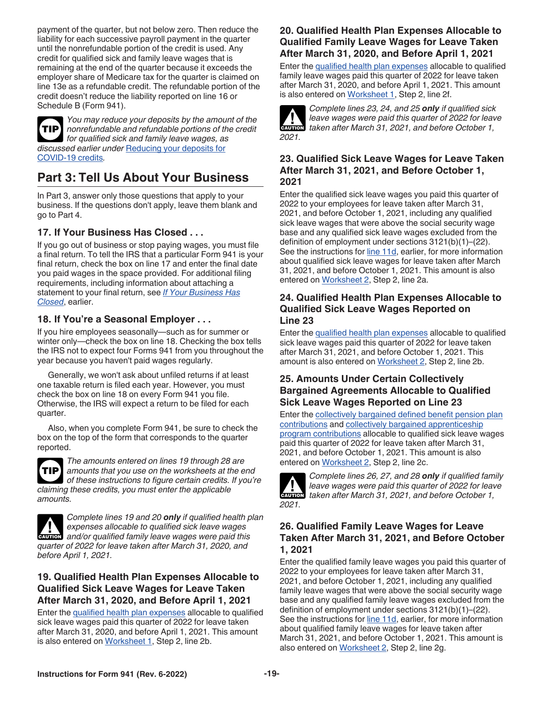<span id="page-18-0"></span>payment of the quarter, but not below zero. Then reduce the liability for each successive payroll payment in the quarter until the nonrefundable portion of the credit is used. Any credit for qualified sick and family leave wages that is remaining at the end of the quarter because it exceeds the employer share of Medicare tax for the quarter is claimed on line 13e as a refundable credit. The refundable portion of the credit doesn't reduce the liability reported on line 16 or Schedule B (Form 941).



*You may reduce your deposits by the amount of the nonrefundable and refundable portions of the credit*  **TIP** *for qualified sick and family leave wages, as discussed earlier under* [Reducing your deposits for](#page-7-0)  [COVID-19 credits](#page-7-0)*.*

# **Part 3: Tell Us About Your Business**

In Part 3, answer only those questions that apply to your business. If the questions don't apply, leave them blank and go to Part 4.

# **17. If Your Business Has Closed . . .**

If you go out of business or stop paying wages, you must file a final return. To tell the IRS that a particular Form 941 is your final return, check the box on line 17 and enter the final date you paid wages in the space provided. For additional filing requirements, including information about attaching a statement to your final return, see *[If Your Business Has](#page-5-0)  [Closed](#page-5-0)*, earlier.

# **18. If You're a Seasonal Employer . . .**

If you hire employees seasonally—such as for summer or winter only—check the box on line 18. Checking the box tells the IRS not to expect four Forms 941 from you throughout the year because you haven't paid wages regularly.

Generally, we won't ask about unfiled returns if at least one taxable return is filed each year. However, you must check the box on line 18 on every Form 941 you file. Otherwise, the IRS will expect a return to be filed for each quarter.

Also, when you complete Form 941, be sure to check the box on the top of the form that corresponds to the quarter reported.



*The amounts entered on lines 19 through 28 are amounts that you use on the worksheets at the end of these instructions to figure certain credits. If you're claiming these credits, you must enter the applicable amounts.*



*Complete lines 19 and 20 only if qualified health plan expenses allocable to qualified sick leave wages*  **EXPENSES** allocable to qualified sick leave wages allocable to qualified sick leave wages *quarter of 2022 for leave taken after March 31, 2020, and before April 1, 2021.*

### **19. Qualified Health Plan Expenses Allocable to Qualified Sick Leave Wages for Leave Taken After March 31, 2020, and Before April 1, 2021**

Enter the [qualified health plan expenses](#page-13-0) allocable to qualified sick leave wages paid this quarter of 2022 for leave taken after March 31, 2020, and before April 1, 2021. This amount is also entered on [Worksheet 1](#page-20-0), Step 2, line 2b.

# **20. Qualified Health Plan Expenses Allocable to Qualified Family Leave Wages for Leave Taken After March 31, 2020, and Before April 1, 2021**

Enter the [qualified health plan expenses](#page-13-0) allocable to qualified family leave wages paid this quarter of 2022 for leave taken after March 31, 2020, and before April 1, 2021. This amount is also entered on [Worksheet 1](#page-20-0), Step 2, line 2f.



*Complete lines 23, 24, and 25 only if qualified sick leave wages were paid this quarter of 2022 for leave taken after March 31, 2021, and before October 1,* $\overline{a}$ 

# **23. Qualified Sick Leave Wages for Leave Taken After March 31, 2021, and Before October 1, 2021**

Enter the qualified sick leave wages you paid this quarter of 2022 to your employees for leave taken after March 31, 2021, and before October 1, 2021, including any qualified sick leave wages that were above the social security wage base and any qualified sick leave wages excluded from the definition of employment under sections 3121(b)(1)–(22). See the instructions for [line 11d](#page-13-0), earlier, for more information about qualified sick leave wages for leave taken after March 31, 2021, and before October 1, 2021. This amount is also entered on [Worksheet 2](#page-21-0), Step 2, line 2a.

#### **24. Qualified Health Plan Expenses Allocable to Qualified Sick Leave Wages Reported on Line 23**

Enter the [qualified health plan expenses](#page-14-0) allocable to qualified sick leave wages paid this quarter of 2022 for leave taken after March 31, 2021, and before October 1, 2021. This amount is also entered on [Worksheet 2,](#page-21-0) Step 2, line 2b.

### **25. Amounts Under Certain Collectively Bargained Agreements Allocable to Qualified Sick Leave Wages Reported on Line 23**

Enter the [collectively bargained defined benefit pension plan](#page-14-0)  [contributions](#page-14-0) and [collectively bargained apprenticeship](#page-14-0) [program contributions](#page-14-0) allocable to qualified sick leave wages paid this quarter of 2022 for leave taken after March 31, 2021, and before October 1, 2021. This amount is also entered on [Worksheet 2](#page-21-0), Step 2, line 2c.



*Complete lines 26, 27, and 28 only if qualified family leave wages were paid this quarter of 2022 for leave*  **leave wages were paid this quarter of 2022 for leavely taken after March 31, 2021, and before October 1,** 

# **26. Qualified Family Leave Wages for Leave Taken After March 31, 2021, and Before October 1, 2021**

Enter the qualified family leave wages you paid this quarter of 2022 to your employees for leave taken after March 31, 2021, and before October 1, 2021, including any qualified family leave wages that were above the social security wage base and any qualified family leave wages excluded from the definition of employment under sections 3121(b)(1)–(22). See the instructions for [line 11d](#page-13-0), earlier, for more information about qualified family leave wages for leave taken after March 31, 2021, and before October 1, 2021. This amount is also entered on [Worksheet 2](#page-21-0), Step 2, line 2g.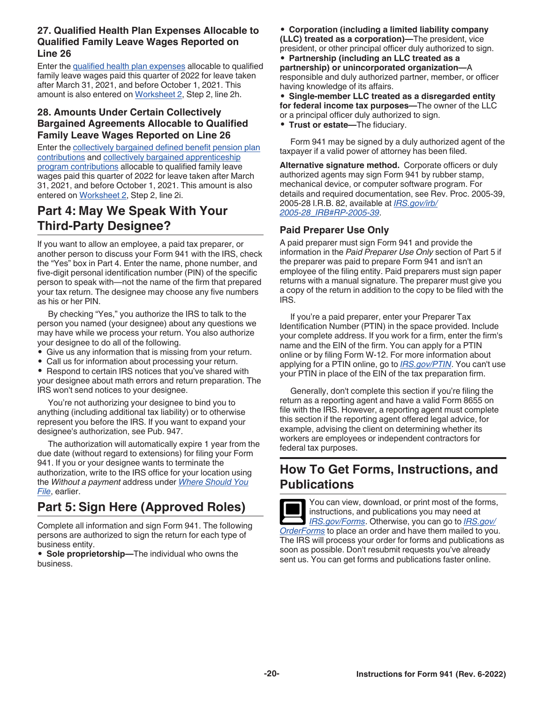# <span id="page-19-0"></span>**27. Qualified Health Plan Expenses Allocable to Qualified Family Leave Wages Reported on Line 26**

Enter the [qualified health plan expenses](#page-14-0) allocable to qualified family leave wages paid this quarter of 2022 for leave taken after March 31, 2021, and before October 1, 2021. This amount is also entered on [Worksheet 2,](#page-21-0) Step 2, line 2h.

# **28. Amounts Under Certain Collectively Bargained Agreements Allocable to Qualified Family Leave Wages Reported on Line 26**

Enter the [collectively bargained defined benefit pension plan](#page-14-0)  [contributions](#page-14-0) and [collectively bargained apprenticeship](#page-14-0) [program contributions](#page-14-0) allocable to qualified family leave wages paid this quarter of 2022 for leave taken after March 31, 2021, and before October 1, 2021. This amount is also entered on [Worksheet 2](#page-21-0), Step 2, line 2i.

# **Part 4: May We Speak With Your Third-Party Designee?**

If you want to allow an employee, a paid tax preparer, or another person to discuss your Form 941 with the IRS, check the "Yes" box in Part 4. Enter the name, phone number, and five-digit personal identification number (PIN) of the specific person to speak with—not the name of the firm that prepared your tax return. The designee may choose any five numbers as his or her PIN.

By checking "Yes," you authorize the IRS to talk to the person you named (your designee) about any questions we may have while we process your return. You also authorize your designee to do all of the following.

- Give us any information that is missing from your return.
- Call us for information about processing your return.

• Respond to certain IRS notices that you've shared with your designee about math errors and return preparation. The IRS won't send notices to your designee.

You're not authorizing your designee to bind you to anything (including additional tax liability) or to otherwise represent you before the IRS. If you want to expand your designee's authorization, see Pub. 947.

The authorization will automatically expire 1 year from the due date (without regard to extensions) for filing your Form 941. If you or your designee wants to terminate the authorization, write to the IRS office for your location using the *Without a payment* address under *[Where Should You](#page-7-0)  [File](#page-7-0)*, earlier.

# **Part 5: Sign Here (Approved Roles)**

Complete all information and sign Form 941. The following persons are authorized to sign the return for each type of business entity.

• **Sole proprietorship—**The individual who owns the business.

• **Corporation (including a limited liability company (LLC) treated as a corporation)—**The president, vice president, or other principal officer duly authorized to sign.

• **Partnership (including an LLC treated as a partnership) or unincorporated organization—**A responsible and duly authorized partner, member, or officer having knowledge of its affairs.

• **Single-member LLC treated as a disregarded entity for federal income tax purposes—**The owner of the LLC or a principal officer duly authorized to sign.

• **Trust or estate—**The fiduciary.

Form 941 may be signed by a duly authorized agent of the taxpayer if a valid power of attorney has been filed.

**Alternative signature method.** Corporate officers or duly authorized agents may sign Form 941 by rubber stamp, mechanical device, or computer software program. For details and required documentation, see Rev. Proc. 2005-39, 2005-28 I.R.B. 82, available at *[IRS.gov/irb/](https://www.irs.gov/irb/2005-28_IRB#RP-2005-39) [2005-28\\_IRB#RP-2005-39](https://www.irs.gov/irb/2005-28_IRB#RP-2005-39)*.

# **Paid Preparer Use Only**

A paid preparer must sign Form 941 and provide the information in the *Paid Preparer Use Only* section of Part 5 if the preparer was paid to prepare Form 941 and isn't an employee of the filing entity. Paid preparers must sign paper returns with a manual signature. The preparer must give you a copy of the return in addition to the copy to be filed with the IRS.

If you're a paid preparer, enter your Preparer Tax Identification Number (PTIN) in the space provided. Include your complete address. If you work for a firm, enter the firm's name and the EIN of the firm. You can apply for a PTIN online or by filing Form W-12. For more information about applying for a PTIN online, go to *[IRS.gov/PTIN](https://www.irs.gov/ptin)*. You can't use your PTIN in place of the EIN of the tax preparation firm.

Generally, don't complete this section if you're filing the return as a reporting agent and have a valid Form 8655 on file with the IRS. However, a reporting agent must complete this section if the reporting agent offered legal advice, for example, advising the client on determining whether its workers are employees or independent contractors for federal tax purposes.

# **How To Get Forms, Instructions, and Publications**

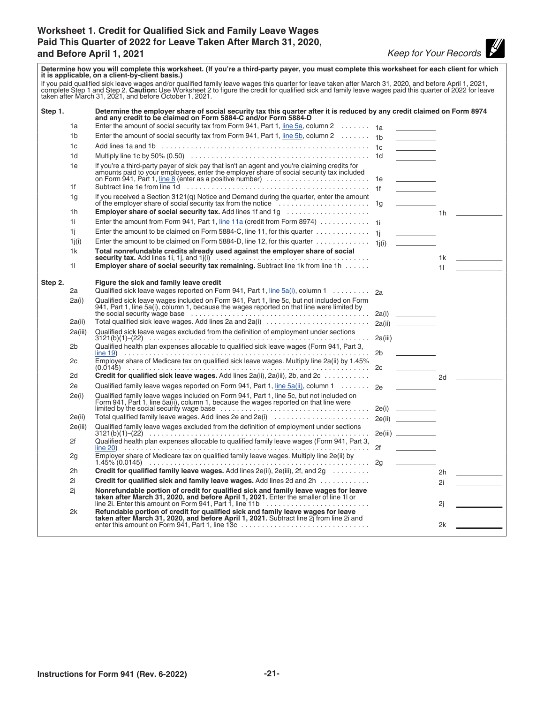# <span id="page-20-0"></span>**Worksheet 1. Credit for Qualified Sick and Family Leave Wages Paid This Quarter of 2022 for Leave Taken After March 31, 2020, and Before April 1, 2021** *Keep for Your Records*

 $\overline{\phantom{a}}$ 

| Determine how you will complete this worksheet. (If you're a third-party payer, you must complete this worksheet for each client for which<br>it is applicable, on a client-by-client basis.)<br>If you paid qualified sick leave wages and/or qualified family leave wages this quarter for leave taken after March 31, 2020, and before April 1, 2021, complete Step 1 and Step 2. Caution: Use Worksheet 2 to figure the cre |          |                                                                                                                                                                                                                                           |    |                                                                                                      |    |                                     |
|---------------------------------------------------------------------------------------------------------------------------------------------------------------------------------------------------------------------------------------------------------------------------------------------------------------------------------------------------------------------------------------------------------------------------------|----------|-------------------------------------------------------------------------------------------------------------------------------------------------------------------------------------------------------------------------------------------|----|------------------------------------------------------------------------------------------------------|----|-------------------------------------|
| Step 1.                                                                                                                                                                                                                                                                                                                                                                                                                         |          | Determine the employer share of social security tax this quarter after it is reduced by any credit claimed on Form 8974<br>and any credit to be claimed on Form 5884-C and/or Form 5884-D                                                 |    |                                                                                                      |    |                                     |
|                                                                                                                                                                                                                                                                                                                                                                                                                                 | 1a       | Enter the amount of social security tax from Form 941, Part 1, line 5a, column 2 $\dots \dots$ 1a                                                                                                                                         |    |                                                                                                      |    |                                     |
|                                                                                                                                                                                                                                                                                                                                                                                                                                 | 1b       | Enter the amount of social security tax from Form 941, Part 1, line 5b, column 2 $\dots \dots$ 1b                                                                                                                                         |    |                                                                                                      |    |                                     |
|                                                                                                                                                                                                                                                                                                                                                                                                                                 | 1c       |                                                                                                                                                                                                                                           |    | <b>Contract Contract Contract</b>                                                                    |    |                                     |
|                                                                                                                                                                                                                                                                                                                                                                                                                                 | 1d       |                                                                                                                                                                                                                                           |    |                                                                                                      |    |                                     |
|                                                                                                                                                                                                                                                                                                                                                                                                                                 | 1e<br>1f | If you're a third-party payer of sick pay that isn't an agent and you're claiming credits for<br>amounts paid to your employees, enter the employer share of social security tax included<br>on Form 941, Part 1, <u>line 8</u> (enter as |    | $\frac{1}{2} \left( \frac{1}{2} \right)^2 \left( \frac{1}{2} \right)^2 \left( \frac{1}{2} \right)^2$ |    |                                     |
|                                                                                                                                                                                                                                                                                                                                                                                                                                 | 1g       | If you received a Section 3121(q) Notice and Demand during the quarter, enter the amount                                                                                                                                                  |    |                                                                                                      |    |                                     |
|                                                                                                                                                                                                                                                                                                                                                                                                                                 | 1h       | <b>Employer share of social security tax.</b> Add lines 1f and 1g                                                                                                                                                                         |    |                                                                                                      |    | 1h $\qquad$                         |
|                                                                                                                                                                                                                                                                                                                                                                                                                                 | 1i.      |                                                                                                                                                                                                                                           |    |                                                                                                      |    |                                     |
|                                                                                                                                                                                                                                                                                                                                                                                                                                 | 1i.      | Enter the amount to be claimed on Form 5884-C, line 11, for this quarter $\dots\dots\dots\dots\dots$                                                                                                                                      |    | <u> Albanya (</u>                                                                                    |    |                                     |
|                                                                                                                                                                                                                                                                                                                                                                                                                                 | 1j(i)    | Enter the amount to be claimed on Form 5884-D, line 12, for this quarter $\dots\dots\dots\dots\dots\dots$                                                                                                                                 |    |                                                                                                      |    |                                     |
|                                                                                                                                                                                                                                                                                                                                                                                                                                 | 1k       |                                                                                                                                                                                                                                           |    |                                                                                                      |    |                                     |
|                                                                                                                                                                                                                                                                                                                                                                                                                                 |          |                                                                                                                                                                                                                                           |    |                                                                                                      |    |                                     |
|                                                                                                                                                                                                                                                                                                                                                                                                                                 | 11       | <b>Employer share of social security tax remaining.</b> Subtract line 1k from line 1h                                                                                                                                                     |    |                                                                                                      |    | $11 \quad \underline{\hspace{1cm}}$ |
| Step 2.                                                                                                                                                                                                                                                                                                                                                                                                                         |          | Figure the sick and family leave credit                                                                                                                                                                                                   |    |                                                                                                      |    |                                     |
|                                                                                                                                                                                                                                                                                                                                                                                                                                 | 2a       | Qualified sick leave wages reported on Form 941, Part 1, $\lim_{z \to z_0} 5a(i)$ , column 1 2 <sub>8</sub> _____                                                                                                                         |    |                                                                                                      |    |                                     |
|                                                                                                                                                                                                                                                                                                                                                                                                                                 | 2a(i)    | Qualified sick leave wages included on Form 941, Part 1, line 5c, but not included on Form 941, Part 1, line 5a(i), column 1, because the wages reported on that line were limited by                                                     |    |                                                                                                      |    |                                     |
|                                                                                                                                                                                                                                                                                                                                                                                                                                 |          |                                                                                                                                                                                                                                           |    |                                                                                                      |    |                                     |
|                                                                                                                                                                                                                                                                                                                                                                                                                                 | 2a(ii)   | Total qualified sick leave wages. Add lines 2a and 2a(i)                                                                                                                                                                                  |    |                                                                                                      |    |                                     |
|                                                                                                                                                                                                                                                                                                                                                                                                                                 | 2a(iii)  | Qualified sick leave wages excluded from the definition of employment under sections                                                                                                                                                      |    |                                                                                                      |    |                                     |
|                                                                                                                                                                                                                                                                                                                                                                                                                                 | 2b       | Qualified health plan expenses allocable to qualified sick leave wages (Form 941, Part 3,                                                                                                                                                 | 2b |                                                                                                      |    |                                     |
|                                                                                                                                                                                                                                                                                                                                                                                                                                 | 2c       | Employer share of Medicare tax on qualified sick leave wages. Multiply line 2a(ii) by 1.45%                                                                                                                                               |    | $\frac{1}{2}$                                                                                        |    |                                     |
|                                                                                                                                                                                                                                                                                                                                                                                                                                 | 2d       | Credit for qualified sick leave wages. Add lines $2a(ii)$ , $2a(iii)$ , $2b$ , and $2c \ldots \ldots \ldots$                                                                                                                              |    |                                                                                                      | 2d |                                     |
|                                                                                                                                                                                                                                                                                                                                                                                                                                 | 2e       | Qualified family leave wages reported on Form 941, Part 1, line 5a(ii), column 1 2e                                                                                                                                                       |    |                                                                                                      |    |                                     |
|                                                                                                                                                                                                                                                                                                                                                                                                                                 | 2e(i)    | Qualified family leave wages included on Form 941, Part 1, line 5c, but not included on<br>Form 941, Part 1, line 5a(ii), column 1, because the wages reported on that line were<br>limited by the social security wage base              |    |                                                                                                      |    |                                     |
|                                                                                                                                                                                                                                                                                                                                                                                                                                 | 2e(ii)   | Total qualified family leave wages. Add lines 2e and 2e(i)                                                                                                                                                                                |    |                                                                                                      |    |                                     |
|                                                                                                                                                                                                                                                                                                                                                                                                                                 | 2e(iii)  | Qualified family leave wages excluded from the definition of employment under sections                                                                                                                                                    |    |                                                                                                      |    |                                     |
|                                                                                                                                                                                                                                                                                                                                                                                                                                 | 2f       | Qualified health plan expenses allocable to qualified family leave wages (Form 941, Part 3,                                                                                                                                               |    |                                                                                                      |    |                                     |
|                                                                                                                                                                                                                                                                                                                                                                                                                                 | 2g       |                                                                                                                                                                                                                                           |    |                                                                                                      |    |                                     |
|                                                                                                                                                                                                                                                                                                                                                                                                                                 | 2h       | <b>Credit for qualified family leave wages.</b> Add lines $2e(ii)$ , $2e(iii)$ , $2f$ , and $2g$                                                                                                                                          |    |                                                                                                      | 2h |                                     |
|                                                                                                                                                                                                                                                                                                                                                                                                                                 | 2i       | Credit for qualified sick and family leave wages. Add lines 2d and 2h                                                                                                                                                                     |    |                                                                                                      | 2i |                                     |
|                                                                                                                                                                                                                                                                                                                                                                                                                                 | 2j       | Nonrefundable portion of credit for qualified sick and family leave wages for leave taken after March 31, 2020, and before April 1, 2021. Enter the smaller of line 1l or line 2i. Enter this amount on Form 941, Part 1, line            |    |                                                                                                      | 2j |                                     |
|                                                                                                                                                                                                                                                                                                                                                                                                                                 | 2k       | Refundable portion of credit for qualified sick and family leave wages for leave<br>taken after March 31, 2020, and before April 1, 2021. Subtract line 2j from line 2i and                                                               |    |                                                                                                      |    |                                     |
|                                                                                                                                                                                                                                                                                                                                                                                                                                 |          |                                                                                                                                                                                                                                           |    |                                                                                                      | 2k |                                     |